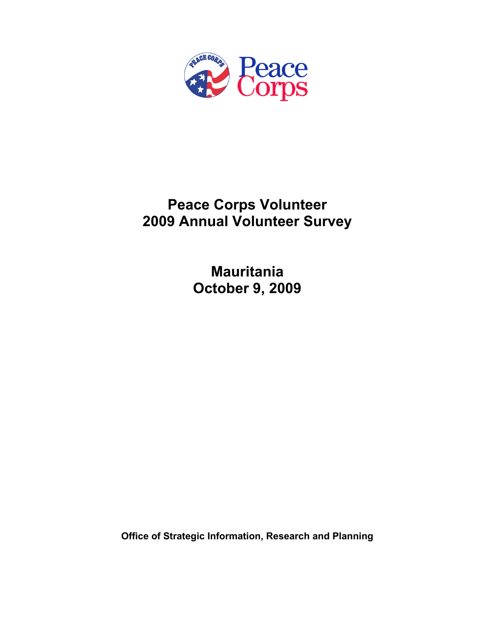

# **Peace Corps Volunteer 2009 Annual Volunteer Survey**

**Mauritania October 9, 2009** 

**Office of Strategic Information, Research and Planning**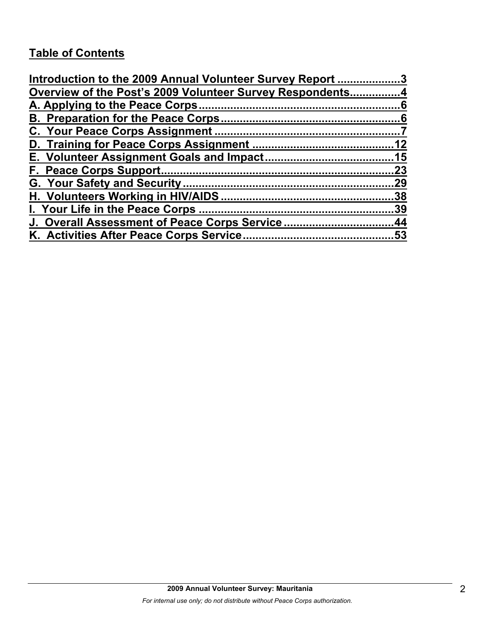# **Table of Contents**

| Introduction to the 2009 Annual Volunteer Survey Report 3 |     |
|-----------------------------------------------------------|-----|
| Overview of the Post's 2009 Volunteer Survey Respondents4 |     |
|                                                           |     |
|                                                           |     |
|                                                           |     |
|                                                           |     |
|                                                           |     |
|                                                           | 23  |
|                                                           | .29 |
|                                                           |     |
|                                                           | 39  |
| J. Overall Assessment of Peace Corps Service44            |     |
|                                                           |     |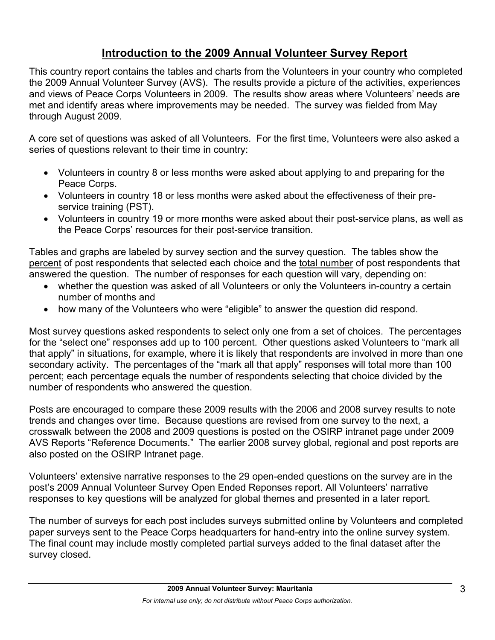# **Introduction to the 2009 Annual Volunteer Survey Report**

This country report contains the tables and charts from the Volunteers in your country who completed the 2009 Annual Volunteer Survey (AVS). The results provide a picture of the activities, experiences and views of Peace Corps Volunteers in 2009. The results show areas where Volunteers' needs are met and identify areas where improvements may be needed. The survey was fielded from May through August 2009.

A core set of questions was asked of all Volunteers. For the first time, Volunteers were also asked a series of questions relevant to their time in country:

- Volunteers in country 8 or less months were asked about applying to and preparing for the Peace Corps.
- Volunteers in country 18 or less months were asked about the effectiveness of their preservice training (PST).
- Volunteers in country 19 or more months were asked about their post-service plans, as well as the Peace Corps' resources for their post-service transition.

Tables and graphs are labeled by survey section and the survey question. The tables show the percent of post respondents that selected each choice and the total number of post respondents that answered the question. The number of responses for each question will vary, depending on:

- whether the question was asked of all Volunteers or only the Volunteers in-country a certain number of months and
- how many of the Volunteers who were "eligible" to answer the question did respond.

Most survey questions asked respondents to select only one from a set of choices. The percentages for the "select one" responses add up to 100 percent. Other questions asked Volunteers to "mark all that apply" in situations, for example, where it is likely that respondents are involved in more than one secondary activity. The percentages of the "mark all that apply" responses will total more than 100 percent; each percentage equals the number of respondents selecting that choice divided by the number of respondents who answered the question.

Posts are encouraged to compare these 2009 results with the 2006 and 2008 survey results to note trends and changes over time. Because questions are revised from one survey to the next, a crosswalk between the 2008 and 2009 questions is posted on the OSIRP intranet page under 2009 AVS Reports "Reference Documents." The earlier 2008 survey global, regional and post reports are also posted on the OSIRP Intranet page.

Volunteers' extensive narrative responses to the 29 open-ended questions on the survey are in the post's 2009 Annual Volunteer Survey Open Ended Reponses report. All Volunteers' narrative responses to key questions will be analyzed for global themes and presented in a later report.

The number of surveys for each post includes surveys submitted online by Volunteers and completed paper surveys sent to the Peace Corps headquarters for hand-entry into the online survey system. The final count may include mostly completed partial surveys added to the final dataset after the survey closed.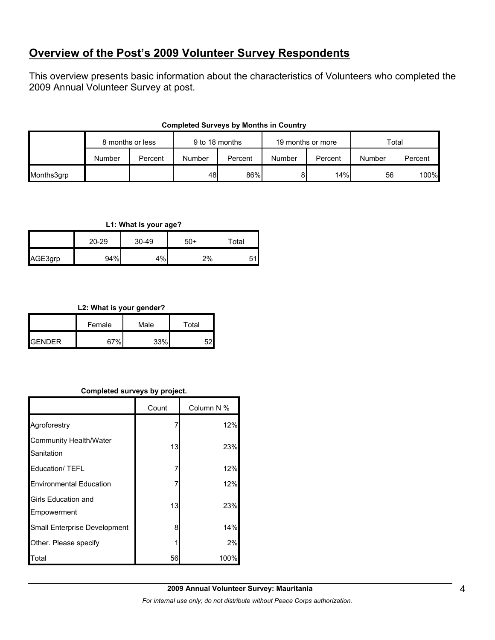# **Overview of the Post's 2009 Volunteer Survey Respondents**

This overview presents basic information about the characteristics of Volunteers who completed the 2009 Annual Volunteer Survey at post.

|            | 8 months or less |         | 9 to 18 months |         | 19 months or more |         | Total  |         |
|------------|------------------|---------|----------------|---------|-------------------|---------|--------|---------|
|            | Number           | Percent | Number         | Percent | Number            | Percent | Number | Percent |
| Months3grp |                  |         | 48             | 86%     | 81                | 14%     | 56     | 100%    |

#### **Completed Surveys by Months in Country**

#### **L1: What is your age?**

|         | $20 - 29$ | $30 - 49$ | $50+$ | Total |  |
|---------|-----------|-----------|-------|-------|--|
| AGE3grp | 94%       | 4%        | 2%    |       |  |

#### **L2: What is your gender?**

|                | Female | Male | Total |
|----------------|--------|------|-------|
| <b>IGENDER</b> | 67%    | 33%  |       |

#### **Completed surveys by project.**

|                                      | Count | Column N % |
|--------------------------------------|-------|------------|
| Agroforestry                         | 7     | 12%        |
| Community Health/Water<br>Sanitation | 13    | 23%        |
| <b>Education/ TEFL</b>               | 7     | 12%        |
| <b>Environmental Education</b>       | 7     | 12%        |
| Girls Education and<br>Empowerment   | 13    | 23%        |
| Small Enterprise Development         | 8     | 14%        |
| Other. Please specify                |       | 2%         |
| Total                                | 56    | 100%       |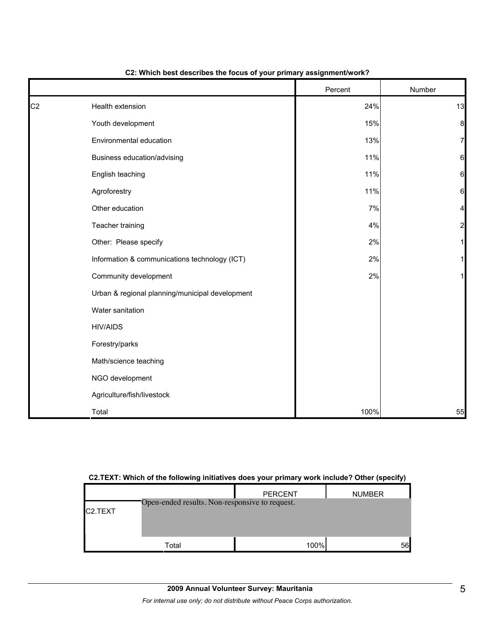|                |                                                 | Percent | Number                  |
|----------------|-------------------------------------------------|---------|-------------------------|
| C <sub>2</sub> | Health extension                                | 24%     | 13                      |
|                | Youth development                               | 15%     | 8                       |
|                | Environmental education                         | 13%     | $\overline{7}$          |
|                | Business education/advising                     | 11%     | $6\phantom{1}6$         |
|                | English teaching                                | 11%     | 6                       |
|                | Agroforestry                                    | 11%     | $6\phantom{1}6$         |
|                | Other education                                 | 7%      | 4                       |
|                | Teacher training                                | 4%      | $\overline{\mathbf{c}}$ |
|                | Other: Please specify                           | 2%      | 1                       |
|                | Information & communications technology (ICT)   | 2%      | 1                       |
|                | Community development                           | 2%      | 1                       |
|                | Urban & regional planning/municipal development |         |                         |
|                | Water sanitation                                |         |                         |
|                | <b>HIV/AIDS</b>                                 |         |                         |
|                | Forestry/parks                                  |         |                         |
|                | Math/science teaching                           |         |                         |
|                | NGO development                                 |         |                         |
|                | Agriculture/fish/livestock                      |         |                         |
|                | Total                                           | 100%    | 55                      |

#### **C2: Which best describes the focus of your primary assignment/work?**

#### **C2.TEXT: Which of the following initiatives does your primary work include? Other (specify)**

| C <sub>2</sub> .TEXT | Open-ended results. Non-responsive to request. | <b>PERCENT</b> | <b>NUMBER</b> |
|----------------------|------------------------------------------------|----------------|---------------|
|                      | Total                                          | 100%           | 56            |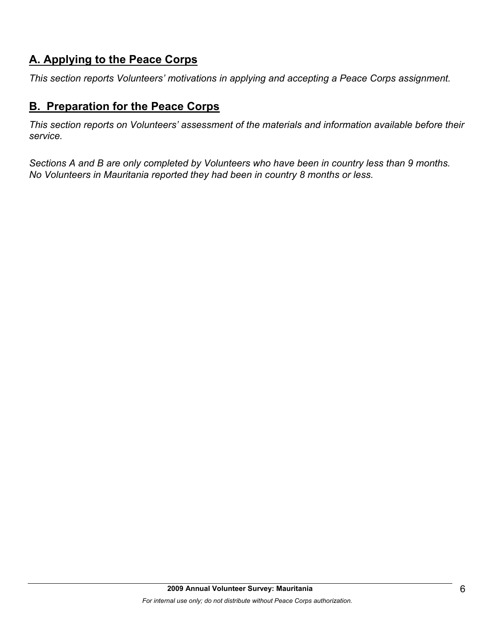# **A. Applying to the Peace Corps**

*This section reports Volunteers' motivations in applying and accepting a Peace Corps assignment.* 

# **B. Preparation for the Peace Corps**

*This section reports on Volunteers' assessment of the materials and information available before their service.* 

*Sections A and B are only completed by Volunteers who have been in country less than 9 months. No Volunteers in Mauritania reported they had been in country 8 months or less.*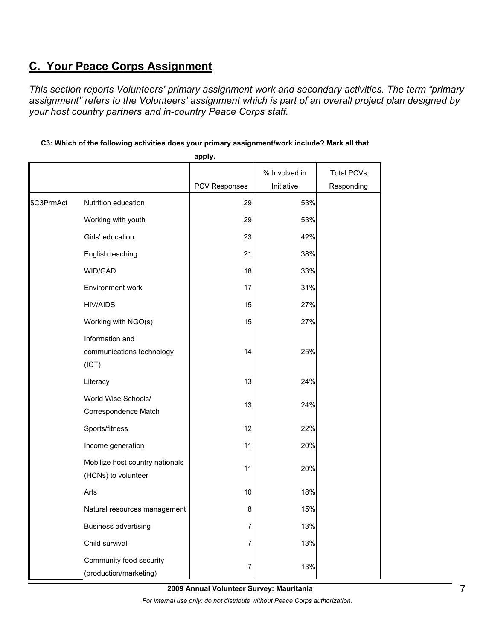# **C. Your Peace Corps Assignment**

*This section reports Volunteers' primary assignment work and secondary activities. The term "primary assignment" refers to the Volunteers' assignment which is part of an overall project plan designed by your host country partners and in-country Peace Corps staff.* 

|            |                                                        | apply.        |               |                   |
|------------|--------------------------------------------------------|---------------|---------------|-------------------|
|            |                                                        |               | % Involved in | <b>Total PCVs</b> |
|            |                                                        | PCV Responses | Initiative    | Responding        |
| \$C3PrmAct | Nutrition education                                    | 29            | 53%           |                   |
|            | Working with youth                                     | 29            | 53%           |                   |
|            | Girls' education                                       | 23            | 42%           |                   |
|            | English teaching                                       | 21            | 38%           |                   |
|            | WID/GAD                                                | 18            | 33%           |                   |
|            | Environment work                                       | 17            | 31%           |                   |
|            | <b>HIV/AIDS</b>                                        | 15            | 27%           |                   |
|            | Working with NGO(s)                                    | 15            | 27%           |                   |
|            | Information and<br>communications technology<br>(ICT)  | 14            | 25%           |                   |
|            | Literacy                                               | 13            | 24%           |                   |
|            | World Wise Schools/<br>Correspondence Match            | 13            | 24%           |                   |
|            | Sports/fitness                                         | 12            | 22%           |                   |
|            | Income generation                                      | 11            | 20%           |                   |
|            | Mobilize host country nationals<br>(HCNs) to volunteer | 11            | 20%           |                   |
|            | Arts                                                   | 10            | 18%           |                   |
|            | Natural resources management                           | 8             | 15%           |                   |
|            | <b>Business advertising</b>                            | 7             | 13%           |                   |
|            | Child survival                                         | 7             | 13%           |                   |
|            | Community food security<br>(production/marketing)      | 7             | 13%           |                   |

**C3: Which of the following activities does your primary assignment/work include? Mark all that** 

**2009 Annual Volunteer Survey: Mauritania** 

*For internal use only; do not distribute without Peace Corps authorization.*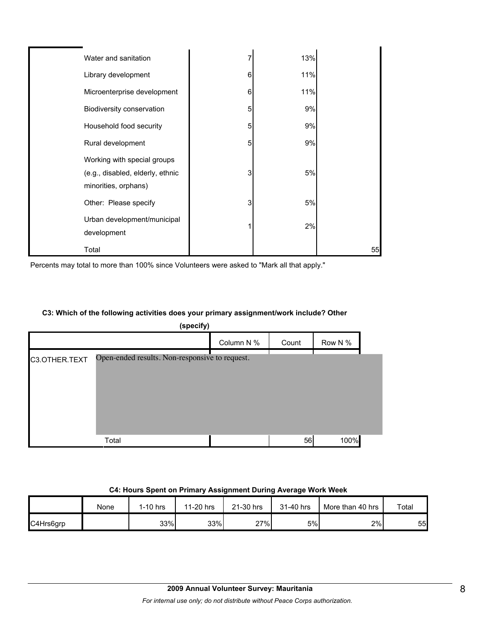| Water and sanitation                                                                    |   | 13% |    |
|-----------------------------------------------------------------------------------------|---|-----|----|
| Library development                                                                     | 6 | 11% |    |
| Microenterprise development                                                             | 6 | 11% |    |
| Biodiversity conservation                                                               | 5 | 9%  |    |
| Household food security                                                                 | 5 | 9%  |    |
| Rural development                                                                       | 5 | 9%  |    |
| Working with special groups<br>(e.g., disabled, elderly, ethnic<br>minorities, orphans) | 3 | 5%  |    |
| Other: Please specify                                                                   | 3 | 5%  |    |
| Urban development/municipal<br>development                                              |   | 2%  |    |
| Total                                                                                   |   |     | 55 |

Percents may total to more than 100% since Volunteers were asked to "Mark all that apply."

## **C3: Which of the following activities does your primary assignment/work include? Other**

| (specify)     |                                                |            |       |         |  |
|---------------|------------------------------------------------|------------|-------|---------|--|
|               |                                                | Column N % | Count | Row N % |  |
| C3.OTHER.TEXT | Open-ended results. Non-responsive to request. |            |       |         |  |
|               | Total                                          |            | 56    | 100%    |  |

#### **C4: Hours Spent on Primary Assignment During Average Work Week**

|           | None | $1-10$ hrs | 11-20 hrs | 21-30 hrs | 31-40 hrs | More than 40 hrs | Total |
|-----------|------|------------|-----------|-----------|-----------|------------------|-------|
| C4Hrs6grp |      | 33%        | 33%       | 27%       | 5%        | 2%               | 55    |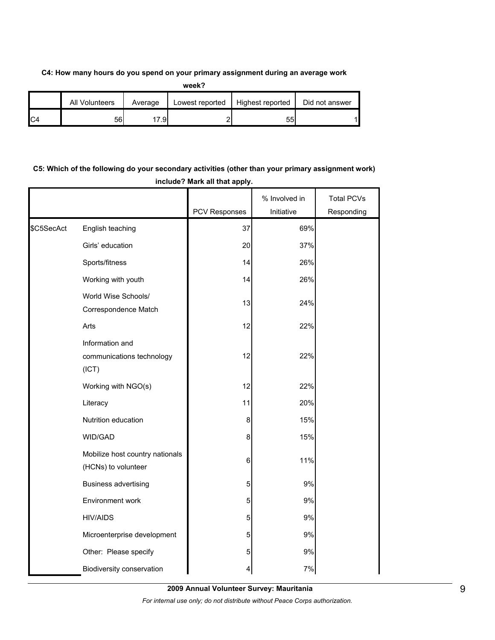#### **C4: How many hours do you spend on your primary assignment during an average work**

|                | <b>All Volunteers</b> | Average | Lowest reported | Highest reported | Did not answer |
|----------------|-----------------------|---------|-----------------|------------------|----------------|
| C <sub>4</sub> | 56                    | 7.9     |                 | 55               |                |

## **C5: Which of the following do your secondary activities (other than your primary assignment work) include? Mark all that apply.**

|            |                                                        |               | % Involved in | <b>Total PCVs</b> |
|------------|--------------------------------------------------------|---------------|---------------|-------------------|
|            |                                                        | PCV Responses | Initiative    | Responding        |
| \$C5SecAct | English teaching                                       | 37            | 69%           |                   |
|            | Girls' education                                       | 20            | 37%           |                   |
|            | Sports/fitness                                         | 14            | 26%           |                   |
|            | Working with youth                                     | 14            | 26%           |                   |
|            | World Wise Schools/<br>Correspondence Match            | 13            | 24%           |                   |
|            | Arts                                                   | 12            | 22%           |                   |
|            | Information and<br>communications technology<br>(ICT)  | 12            | 22%           |                   |
|            | Working with NGO(s)                                    | 12            | 22%           |                   |
|            | Literacy                                               | 11            | 20%           |                   |
|            | Nutrition education                                    | 8             | 15%           |                   |
|            | WID/GAD                                                | 8             | 15%           |                   |
|            | Mobilize host country nationals<br>(HCNs) to volunteer | 6             | 11%           |                   |
|            | <b>Business advertising</b>                            | 5             | 9%            |                   |
|            | Environment work                                       | 5             | 9%            |                   |
|            | <b>HIV/AIDS</b>                                        | 5             | 9%            |                   |
|            | Microenterprise development                            | 5             | 9%            |                   |
|            | Other: Please specify                                  | 5             | 9%            |                   |
|            | Biodiversity conservation                              | 4             | 7%            |                   |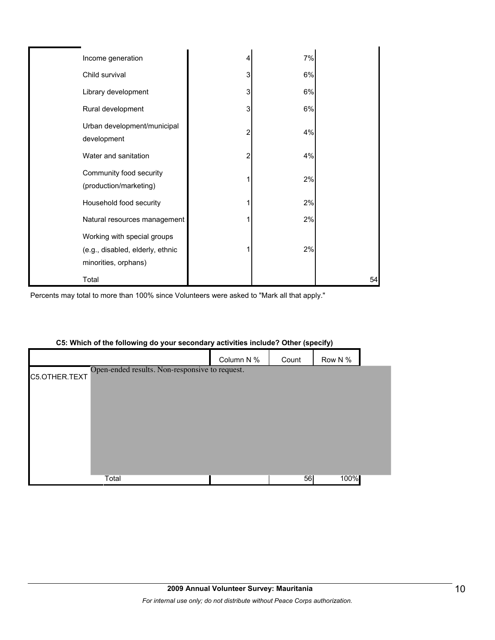| Income generation                                                                       | 4 | 7% |    |
|-----------------------------------------------------------------------------------------|---|----|----|
| Child survival                                                                          | 3 | 6% |    |
| Library development                                                                     | 3 | 6% |    |
| Rural development                                                                       | 3 | 6% |    |
| Urban development/municipal<br>development                                              | 2 | 4% |    |
| Water and sanitation                                                                    | 2 | 4% |    |
| Community food security<br>(production/marketing)                                       |   | 2% |    |
| Household food security                                                                 |   | 2% |    |
| Natural resources management                                                            |   | 2% |    |
| Working with special groups<br>(e.g., disabled, elderly, ethnic<br>minorities, orphans) |   | 2% |    |
| Total                                                                                   |   |    | 54 |

Percents may total to more than 100% since Volunteers were asked to "Mark all that apply."

|               |                                                |            |       | - -     |  |
|---------------|------------------------------------------------|------------|-------|---------|--|
|               |                                                | Column N % | Count | Row N % |  |
| C5.OTHER.TEXT | Open-ended results. Non-responsive to request. |            |       |         |  |
|               |                                                |            |       |         |  |
|               |                                                |            |       |         |  |
|               |                                                |            |       |         |  |
|               |                                                |            |       |         |  |
|               |                                                |            |       |         |  |
|               |                                                |            |       |         |  |
|               | Total                                          |            | 56    | 100%    |  |

#### **C5: Which of the following do your secondary activities include? Other (specify)**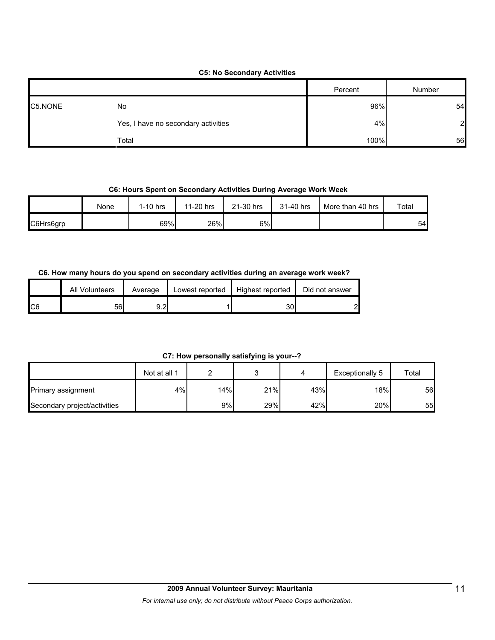#### **C5: No Secondary Activities**

|         |                                     | Percent | Number       |
|---------|-------------------------------------|---------|--------------|
| C5.NONE | No                                  | 96%     | 54           |
|         | Yes, I have no secondary activities | 4%      | $\mathbf{2}$ |
|         | Total                               | 100%    | 56           |

#### **C6: Hours Spent on Secondary Activities During Average Work Week**

|           | None | I-10 hrs | 11-20 hrs | 21-30 hrs | 31-40 hrs | More than 40 hrs | Total |
|-----------|------|----------|-----------|-----------|-----------|------------------|-------|
| C6Hrs6grp |      | 69%      | 26%       | 6%        |           |                  | 54    |

#### **C6. How many hours do you spend on secondary activities during an average work week?**

|     | All Volunteers | Average | Lowest reported | Highest reported | Did not answer |
|-----|----------------|---------|-----------------|------------------|----------------|
| IC6 | 56             | 9.2     |                 | 30               | റ              |

#### **C7: How personally satisfying is your--?**

|                              | Not at all 1 |     |     |     | Exceptionally 5  | Total |
|------------------------------|--------------|-----|-----|-----|------------------|-------|
| Primary assignment           | 4%           | 14% | 21% | 43% | 18% <sub>I</sub> | 56    |
| Secondary project/activities |              | 9%  | 29% | 42% | 20%              | 55    |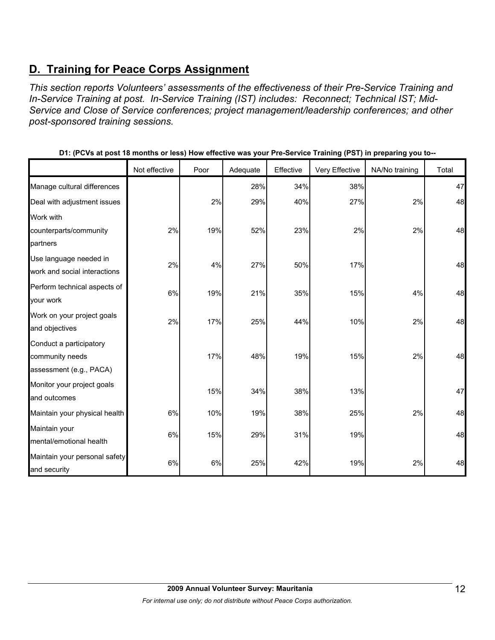# **D. Training for Peace Corps Assignment**

*This section reports Volunteers' assessments of the effectiveness of their Pre-Service Training and In-Service Training at post. In-Service Training (IST) includes: Reconnect; Technical IST; Mid-Service and Close of Service conferences; project management/leadership conferences; and other post-sponsored training sessions.* 

|                               | Not effective | Poor | Adequate | Effective | Very Effective | NA/No training | Total |
|-------------------------------|---------------|------|----------|-----------|----------------|----------------|-------|
| Manage cultural differences   |               |      | 28%      | 34%       | 38%            |                | 47    |
| Deal with adjustment issues   |               | 2%   | 29%      | 40%       | 27%            | 2%             | 48    |
| Work with                     |               |      |          |           |                |                |       |
| counterparts/community        | 2%            | 19%  | 52%      | 23%       | 2%             | 2%             | 48    |
| partners                      |               |      |          |           |                |                |       |
| Use language needed in        | 2%            | 4%   | 27%      | 50%       | 17%            |                | 48    |
| work and social interactions  |               |      |          |           |                |                |       |
| Perform technical aspects of  | 6%            | 19%  | 21%      | 35%       | 15%            | 4%             | 48    |
| your work                     |               |      |          |           |                |                |       |
| Work on your project goals    | 2%            | 17%  | 25%      | 44%       | 10%            | 2%             | 48    |
| and objectives                |               |      |          |           |                |                |       |
| Conduct a participatory       |               |      |          |           |                |                |       |
| community needs               |               | 17%  | 48%      | 19%       | 15%            | 2%             | 48    |
| assessment (e.g., PACA)       |               |      |          |           |                |                |       |
| Monitor your project goals    |               | 15%  | 34%      | 38%       | 13%            |                | 47    |
| and outcomes                  |               |      |          |           |                |                |       |
| Maintain your physical health | 6%            | 10%  | 19%      | 38%       | 25%            | 2%             | 48    |
| Maintain your                 |               |      |          |           |                |                |       |
| mental/emotional health       | 6%            | 15%  | 29%      | 31%       | 19%            |                | 48    |
| Maintain your personal safety | 6%            | 6%   |          |           |                | 2%             |       |
| and security                  |               |      | 25%      | 42%       | 19%            |                | 48    |

**D1: (PCVs at post 18 months or less) How effective was your Pre-Service Training (PST) in preparing you to--**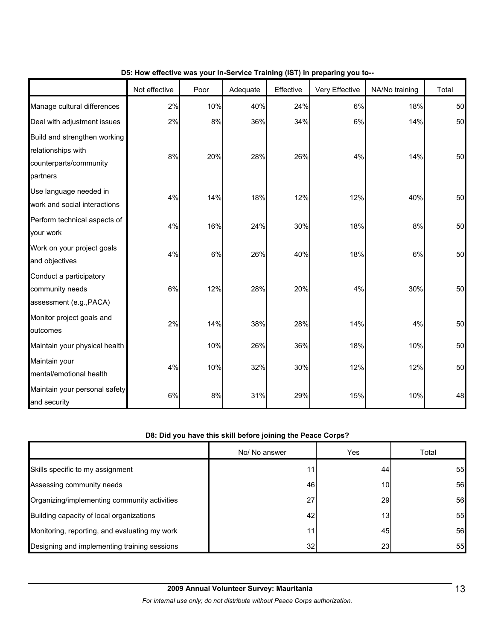|                                                                                          | Not effective | Poor | Adequate | Effective | Very Effective | NA/No training | Total |
|------------------------------------------------------------------------------------------|---------------|------|----------|-----------|----------------|----------------|-------|
| Manage cultural differences                                                              | 2%            | 10%  | 40%      | 24%       | 6%             | 18%            | 50    |
| Deal with adjustment issues                                                              | 2%            | 8%   | 36%      | 34%       | 6%             | 14%            | 50    |
| Build and strengthen working<br>relationships with<br>counterparts/community<br>partners | 8%            | 20%  | 28%      | 26%       | 4%             | 14%            | 50    |
| Use language needed in<br>work and social interactions                                   | 4%            | 14%  | 18%      | 12%       | 12%            | 40%            | 50    |
| Perform technical aspects of<br>your work                                                | 4%            | 16%  | 24%      | 30%       | 18%            | 8%             | 50    |
| Work on your project goals<br>and objectives                                             | 4%            | 6%   | 26%      | 40%       | 18%            | 6%             | 50    |
| Conduct a participatory<br>community needs<br>assessment (e.g., PACA)                    | 6%            | 12%  | 28%      | 20%       | 4%             | 30%            | 50    |
| Monitor project goals and<br>outcomes                                                    | 2%            | 14%  | 38%      | 28%       | 14%            | 4%             | 50    |
| Maintain your physical health                                                            |               | 10%  | 26%      | 36%       | 18%            | 10%            | 50    |
| Maintain your<br>mental/emotional health                                                 | 4%            | 10%  | 32%      | 30%       | 12%            | 12%            | 50    |
| Maintain your personal safety<br>and security                                            | $6\%$         | $8%$ | 31%      | 29%       | 15%            | 10%            | 48    |

#### **D5: How effective was your In-Service Training (IST) in preparing you to--**

#### **D8: Did you have this skill before joining the Peace Corps?**

|                                               | No/ No answer | Yes             | Total |
|-----------------------------------------------|---------------|-----------------|-------|
| Skills specific to my assignment              |               | 44              | 55    |
| Assessing community needs                     | 46            | 10              | 56    |
| Organizing/implementing community activities  | 27            | <b>29</b>       | 56    |
| Building capacity of local organizations      | 42            | 13 <sub>l</sub> | 55    |
| Monitoring, reporting, and evaluating my work | 11            | 45              | 56    |
| Designing and implementing training sessions  | 32            | 23 <sub>l</sub> | 55    |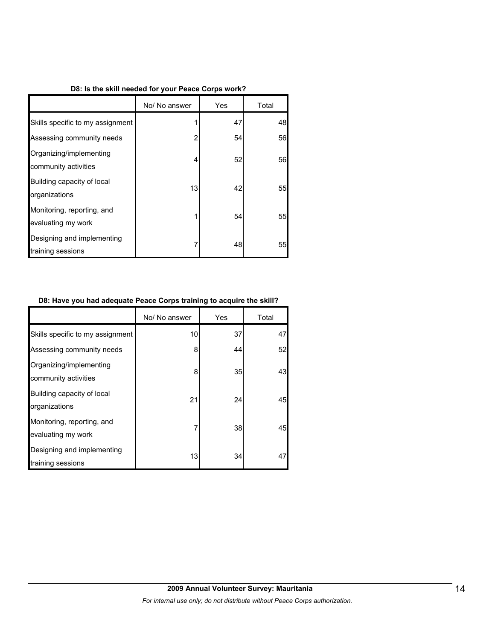#### **D8: Is the skill needed for your Peace Corps work?**

|                                                  | No/ No answer | Yes | Total |
|--------------------------------------------------|---------------|-----|-------|
| Skills specific to my assignment                 |               | 47  | 48    |
| Assessing community needs                        | 2             | 54  | 56    |
| Organizing/implementing<br>community activities  | 4             | 52  | 56    |
| Building capacity of local<br>organizations      | 13            | 42  | 55    |
| Monitoring, reporting, and<br>evaluating my work |               | 54  | 55    |
| Designing and implementing<br>training sessions  |               | 48  | 55    |

#### **D8: Have you had adequate Peace Corps training to acquire the skill?**

|                                                  | No/ No answer | Yes | Total |
|--------------------------------------------------|---------------|-----|-------|
| Skills specific to my assignment                 | 10            | 37  | 47    |
| Assessing community needs                        | 8             | 44  | 52    |
| Organizing/implementing<br>community activities  | 8             | 35  | 43    |
| Building capacity of local<br>organizations      | 21            | 24  | 45    |
| Monitoring, reporting, and<br>evaluating my work | 7             | 38  | 45    |
| Designing and implementing<br>training sessions  | 13            | 34  | 47    |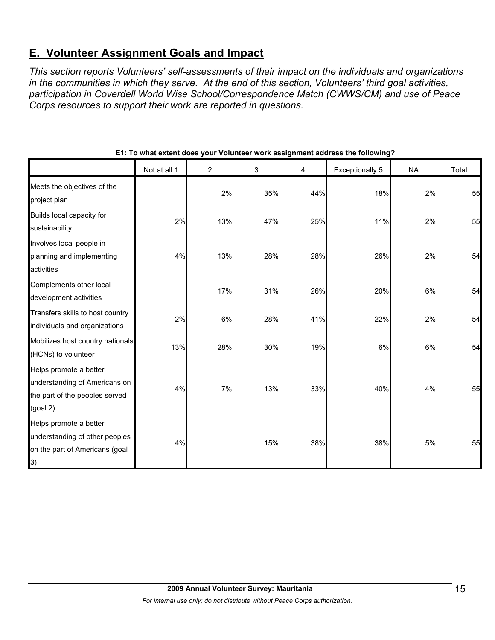# **E. Volunteer Assignment Goals and Impact**

*This section reports Volunteers' self-assessments of their impact on the individuals and organizations in the communities in which they serve. At the end of this section, Volunteers' third goal activities, participation in Coverdell World Wise School/Correspondence Match (CWWS/CM) and use of Peace Corps resources to support their work are reported in questions.* 

|                                                                                                                 | Not at all 1 | $\overline{2}$ | 3   | 4   | <b>Exceptionally 5</b> | <b>NA</b> | Total |
|-----------------------------------------------------------------------------------------------------------------|--------------|----------------|-----|-----|------------------------|-----------|-------|
| Meets the objectives of the<br>project plan                                                                     |              | 2%             | 35% | 44% | 18%                    | 2%        | 55    |
| Builds local capacity for<br>sustainability                                                                     | 2%           | 13%            | 47% | 25% | 11%                    | 2%        | 55    |
| Involves local people in<br>planning and implementing<br>activities                                             | 4%           | 13%            | 28% | 28% | 26%                    | 2%        | 54    |
| Complements other local<br>development activities                                                               |              | 17%            | 31% | 26% | 20%                    | 6%        | 54    |
| Transfers skills to host country<br>individuals and organizations                                               | 2%           | 6%             | 28% | 41% | 22%                    | 2%        | 54    |
| Mobilizes host country nationals<br>(HCNs) to volunteer                                                         | 13%          | 28%            | 30% | 19% | 6%                     | 6%        | 54    |
| Helps promote a better<br>understanding of Americans on<br>the part of the peoples served<br>(goal 2)           | 4%           | 7%             | 13% | 33% | 40%                    | 4%        | 55    |
| Helps promote a better<br>understanding of other peoples<br>on the part of Americans (goal<br>$\left( 3\right)$ | 4%           |                | 15% | 38% | 38%                    | 5%        | 55    |

#### **E1: To what extent does your Volunteer work assignment address the following?**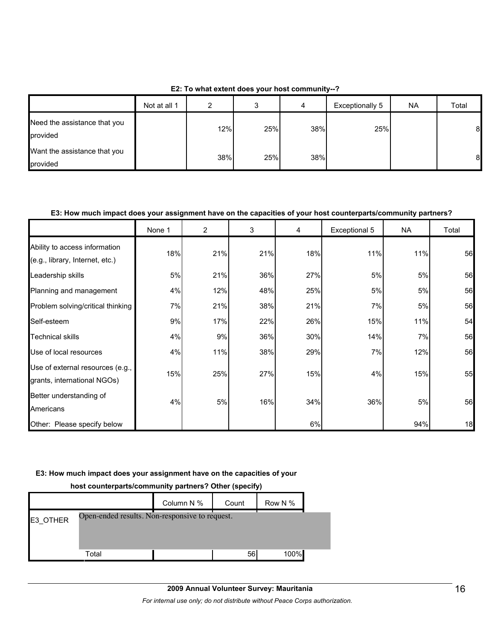| E2: To what extent does your host community--? |  |
|------------------------------------------------|--|
|------------------------------------------------|--|

|                                          | Not at all 1 |     |     | 4   | Exceptionally 5 | <b>NA</b> | Total |
|------------------------------------------|--------------|-----|-----|-----|-----------------|-----------|-------|
| Need the assistance that you<br>provided |              | 12% | 25% | 38% | 25%             |           | 8     |
| Want the assistance that you<br>provided |              | 38% | 25% | 38% |                 |           | 8     |

#### **E3: How much impact does your assignment have on the capacities of your host counterparts/community partners?**

|                                                                  | None 1 | $\overline{2}$ | 3   | 4   | Exceptional 5 | <b>NA</b> | Total |
|------------------------------------------------------------------|--------|----------------|-----|-----|---------------|-----------|-------|
| Ability to access information<br>(e.g., library, Internet, etc.) | 18%    | 21%            | 21% | 18% | 11%           | 11%       | 56    |
| Leadership skills                                                | 5%     | 21%            | 36% | 27% | 5%            | 5%        | 56    |
| Planning and management                                          | 4%     | 12%            | 48% | 25% | 5%            | 5%        | 56    |
| Problem solving/critical thinking                                | 7%     | 21%            | 38% | 21% | 7%            | 5%        | 56    |
| Self-esteem                                                      | 9%     | 17%            | 22% | 26% | 15%           | 11%       | 54    |
| <b>Technical skills</b>                                          | 4%     | 9%             | 36% | 30% | 14%           | 7%        | 56    |
| Use of local resources                                           | 4%     | 11%            | 38% | 29% | 7%            | 12%       | 56    |
| Use of external resources (e.g.,<br>grants, international NGOs)  | 15%    | 25%            | 27% | 15% | 4%            | 15%       | 55    |
| Better understanding of<br>Americans                             | 4%     | 5%             | 16% | 34% | 36%           | 5%        | 56    |
| Other: Please specify below                                      |        |                |     | 6%  |               | 94%       | 18    |

#### **E3: How much impact does your assignment have on the capacities of your**

# **host counterparts/community partners? Other (specify)** Column N % Count Row N % E3\_OTHER Total 56 100% Open-ended results. Non-responsive to request.

## **2009 Annual Volunteer Survey: Mauritania**  *For internal use only; do not distribute without Peace Corps authorization.*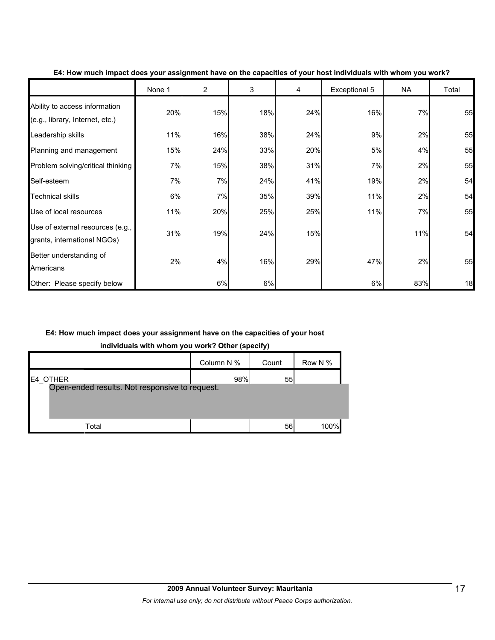|                                                                  | None 1 | $\overline{2}$ | 3   | 4   | Exceptional 5 | <b>NA</b> | Total |
|------------------------------------------------------------------|--------|----------------|-----|-----|---------------|-----------|-------|
| Ability to access information<br>(e.g., library, Internet, etc.) | 20%    | 15%            | 18% | 24% | 16%           | 7%        | 55    |
| Leadership skills                                                | 11%    | 16%            | 38% | 24% | 9%            | 2%        | 55    |
| Planning and management                                          | 15%    | 24%            | 33% | 20% | 5%            | 4%        | 55    |
| Problem solving/critical thinking                                | 7%     | 15%            | 38% | 31% | 7%            | 2%        | 55    |
| Self-esteem                                                      | 7%     | 7%             | 24% | 41% | 19%           | 2%        | 54    |
| <b>Technical skills</b>                                          | 6%     | 7%             | 35% | 39% | 11%           | 2%        | 54    |
| Use of local resources                                           | 11%    | 20%            | 25% | 25% | 11%           | 7%        | 55    |
| Use of external resources (e.g.,<br>grants, international NGOs)  | 31%    | 19%            | 24% | 15% |               | 11%       | 54    |
| Better understanding of<br>Americans                             | 2%     | 4%             | 16% | 29% | 47%           | 2%        | 55    |
| Other: Please specify below                                      |        | 6%             | 6%  |     | 6%            | 83%       | 18    |

#### **E4: How much impact does your assignment have on the capacities of your host individuals with whom you work?**

#### **E4: How much impact does your assignment have on the capacities of your host**

**individuals with whom you work? Other (specify)**

|                                                            | Column N % | Count | Row N % |
|------------------------------------------------------------|------------|-------|---------|
| E4 OTHER<br>Open-ended results. Not responsive to request. | 98%        | 55    |         |
| Total                                                      |            | 56    | 100%    |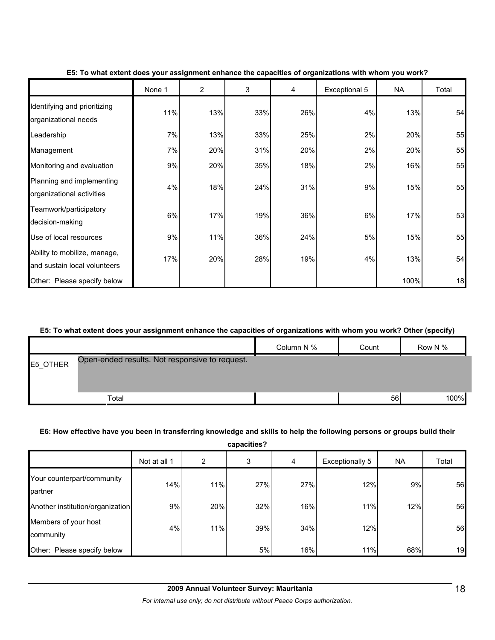|                                                              | None 1 | $\overline{2}$ | 3   | 4   | Exceptional 5 | <b>NA</b> | Total |
|--------------------------------------------------------------|--------|----------------|-----|-----|---------------|-----------|-------|
| Identifying and prioritizing<br>organizational needs         | 11%    | 13%            | 33% | 26% | 4%            | 13%       | 54    |
| Leadership                                                   | 7%     | 13%            | 33% | 25% | 2%            | 20%       | 55    |
| Management                                                   | 7%     | 20%            | 31% | 20% | 2%            | 20%       | 55    |
| Monitoring and evaluation                                    | 9%     | 20%            | 35% | 18% | 2%            | 16%       | 55    |
| Planning and implementing<br>organizational activities       | 4%     | 18%            | 24% | 31% | 9%            | 15%       | 55    |
| Teamwork/participatory<br>decision-making                    | 6%     | 17%            | 19% | 36% | 6%            | 17%       | 53    |
| Use of local resources                                       | 9%     | 11%            | 36% | 24% | 5%            | 15%       | 55    |
| Ability to mobilize, manage,<br>and sustain local volunteers | 17%    | 20%            | 28% | 19% | 4%            | 13%       | 54    |
| Other: Please specify below                                  |        |                |     |     |               | 100%      | 18    |

#### **E5: To what extent does your assignment enhance the capacities of organizations with whom you work?**

#### **E5: To what extent does your assignment enhance the capacities of organizations with whom you work? Other (specify)**

|          |                                                | Column N % | Count | Row N % |
|----------|------------------------------------------------|------------|-------|---------|
| E5 OTHER | Open-ended results. Not responsive to request. |            |       |         |
|          |                                                |            |       |         |
|          | Total                                          |            | 56    | 100%    |

#### **E6: How effective have you been in transferring knowledge and skills to help the following persons or groups build their**

**capacities?** Not at all 1 | 2 | 3 | 4 | Exceptionally 5 | NA | Total Your counterpart/community partner 14% 11% 27% 27% 12% 9% 56 Another institution/organization | 9% 9% 20% 32% 16% 16% 11% 11% 12% 12% 56 Members of your host community 4% 11% 39% 34% 12% 56 Other: Please specify below **the contract of the contract of the contract of the contract of the contract of the contract of the contract of the contract of the contract of the contract of the contract of the contract of t**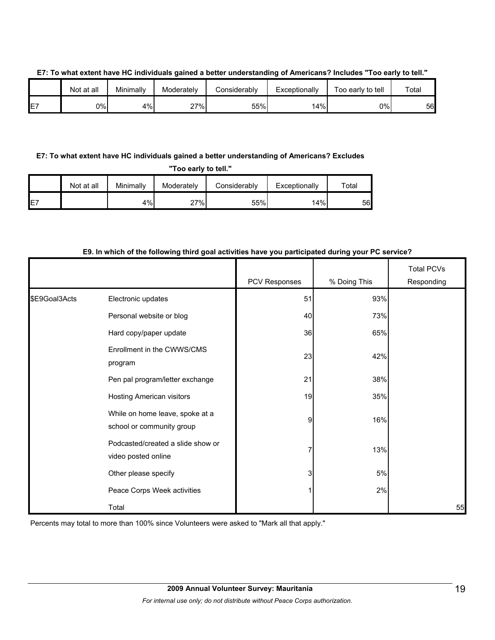|     | Not at all | Minimally | Moderately | <b>Considerably</b> | Exceptionally | Γοο early to tell | Total |
|-----|------------|-----------|------------|---------------------|---------------|-------------------|-------|
| IE7 | 0%l        | 4%        | 27%        | 55%                 | 14%           | 0%l               | 56    |

#### **E7: To what extent have HC individuals gained a better understanding of Americans? Includes "Too early to tell."**

#### **E7: To what extent have HC individuals gained a better understanding of Americans? Excludes**

**"Too early to tell."**

|     | Not at all | Minimally | Moderately | Considerably | Exceptionally | $\mathsf{^{r}}$ otal |
|-----|------------|-----------|------------|--------------|---------------|----------------------|
| IE7 |            | 4%        | 27%        | 55%          | 14%           | 56                   |

#### **E9. In which of the following third goal activities have you participated during your PC service?**

|               |                                                              | PCV Responses | % Doing This | <b>Total PCVs</b><br>Responding |
|---------------|--------------------------------------------------------------|---------------|--------------|---------------------------------|
| \$E9Goal3Acts | Electronic updates                                           | 51            | 93%          |                                 |
|               | Personal website or blog                                     | 40            | 73%          |                                 |
|               | Hard copy/paper update                                       | 36            | 65%          |                                 |
|               | Enrollment in the CWWS/CMS<br>program                        | 23            | 42%          |                                 |
|               | Pen pal program/letter exchange                              | 21            | 38%          |                                 |
|               | <b>Hosting American visitors</b>                             | 19            | 35%          |                                 |
|               | While on home leave, spoke at a<br>school or community group | 9             | 16%          |                                 |
|               | Podcasted/created a slide show or<br>video posted online     | 7             | 13%          |                                 |
|               | Other please specify                                         | 3             | 5%           |                                 |
|               | Peace Corps Week activities                                  |               | 2%           |                                 |
|               | Total                                                        |               |              | 55                              |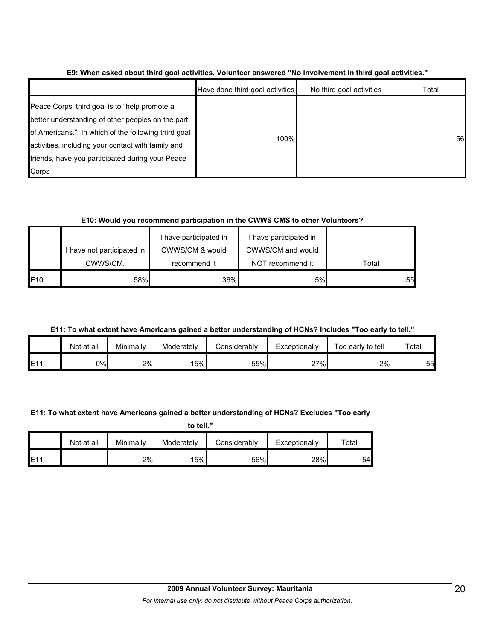|                                                                                                                                                                                                                                                                              | Have done third goal activities | No third goal activities | Total |
|------------------------------------------------------------------------------------------------------------------------------------------------------------------------------------------------------------------------------------------------------------------------------|---------------------------------|--------------------------|-------|
| Peace Corps' third goal is to "help promote a<br>better understanding of other peoples on the part<br>of Americans." In which of the following third goal<br>activities, including your contact with family and<br>friends, have you participated during your Peace<br>Corps | 100%                            |                          | 56    |

#### **E9: When asked about third goal activities, Volunteer answered "No involvement in third goal activities."**

#### **E10: Would you recommend participation in the CWWS CMS to other Volunteers?**

|             | I have not participated in | I have participated in<br>CWWS/CM & would | I have participated in<br>CWWS/CM and would |       |
|-------------|----------------------------|-------------------------------------------|---------------------------------------------|-------|
|             | CWWS/CM.                   | recommend it                              | NOT recommend it                            | Total |
| <b>IE10</b> | 58%                        | 36%                                       | 5%                                          | 55    |

## **E11: To what extent have Americans gained a better understanding of HCNs? Includes "Too early to tell."**

|     | Not at all | Minimally | Moderately | Considerablv | Exceptionally | Too early to tell | Total |
|-----|------------|-----------|------------|--------------|---------------|-------------------|-------|
| E11 | 0%l        | 2%        | 15%        | 55%          | 27%<br>، ے    | 2%                | 55    |

#### **E11: To what extent have Americans gained a better understanding of HCNs? Excludes "Too early**

**to tell."**

|                 | Not at all | Minimally | Moderately | Considerably | Exceptionally | $\tau$ otal |
|-----------------|------------|-----------|------------|--------------|---------------|-------------|
| E1 <sup>4</sup> |            | 2%        | 15%        | 56%          | 28%           | 54          |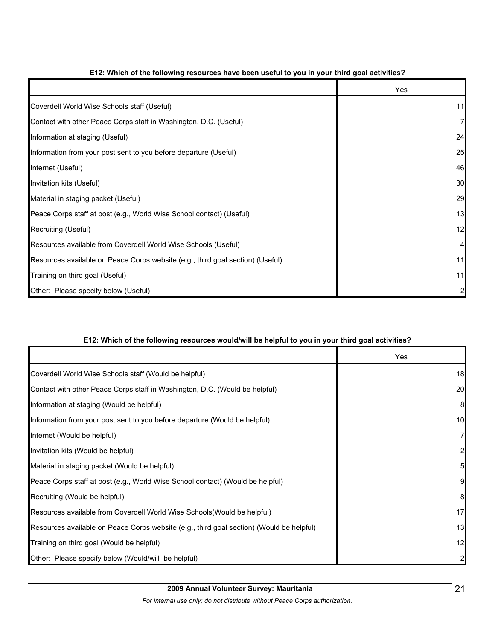|                                                                                | Yes |
|--------------------------------------------------------------------------------|-----|
| Coverdell World Wise Schools staff (Useful)                                    | 11  |
| Contact with other Peace Corps staff in Washington, D.C. (Useful)              |     |
| Information at staging (Useful)                                                | 24  |
| Information from your post sent to you before departure (Useful)               | 25  |
| Internet (Useful)                                                              | 46  |
| Invitation kits (Useful)                                                       | 30  |
| Material in staging packet (Useful)                                            | 29  |
| Peace Corps staff at post (e.g., World Wise School contact) (Useful)           | 13  |
| Recruiting (Useful)                                                            | 12  |
| Resources available from Coverdell World Wise Schools (Useful)                 | 4   |
| Resources available on Peace Corps website (e.g., third goal section) (Useful) | 11  |
| Training on third goal (Useful)                                                | 11  |
| Other: Please specify below (Useful)                                           |     |

#### **E12: Which of the following resources have been useful to you in your third goal activities?**

#### **E12: Which of the following resources would/will be helpful to you in your third goal activities?**

|                                                                                          | Yes             |
|------------------------------------------------------------------------------------------|-----------------|
| Coverdell World Wise Schools staff (Would be helpful)                                    | 18              |
| Contact with other Peace Corps staff in Washington, D.C. (Would be helpful)              | 20              |
| Information at staging (Would be helpful)                                                | 8               |
| Information from your post sent to you before departure (Would be helpful)               | 10              |
| Internet (Would be helpful)                                                              | $\overline{7}$  |
| Invitation kits (Would be helpful)                                                       | $\overline{a}$  |
| Material in staging packet (Would be helpful)                                            | $5\overline{a}$ |
| Peace Corps staff at post (e.g., World Wise School contact) (Would be helpful)           | 9               |
| Recruiting (Would be helpful)                                                            | 8               |
| Resources available from Coverdell World Wise Schools (Would be helpful)                 | 17              |
| Resources available on Peace Corps website (e.g., third goal section) (Would be helpful) | 13              |
| Training on third goal (Would be helpful)                                                | 12              |
| Other: Please specify below (Would/will be helpful)                                      | $\mathbf{2}$    |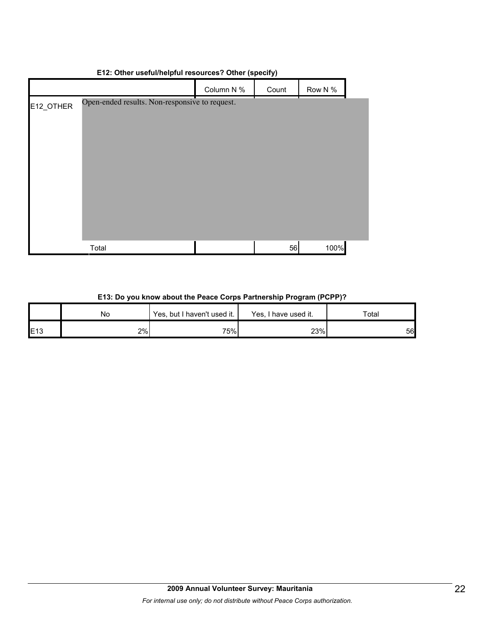# Column N % Count Row N % E12\_OTHER Total 56 100% Open-ended results. Non-responsive to request.

#### **E12: Other useful/helpful resources? Other (specify)**

#### **E13: Do you know about the Peace Corps Partnership Program (PCPP)?**

|     | No  | Yes, but I haven't used it. | Yes, I have used it. | Total |
|-----|-----|-----------------------------|----------------------|-------|
| E13 | 2%I | 75%                         | 23%                  | 56    |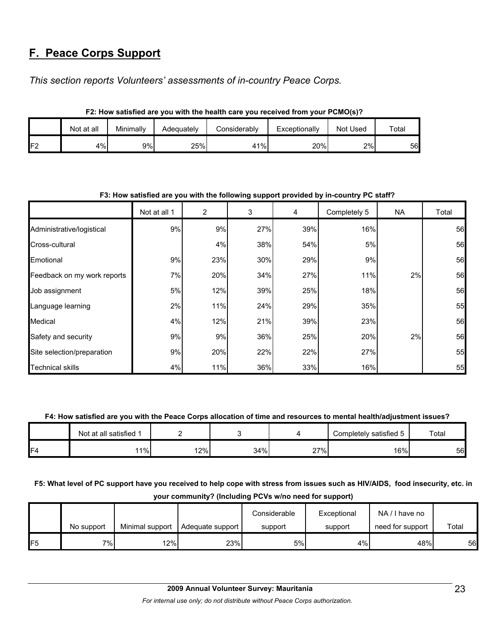# **F. Peace Corps Support**

*This section reports Volunteers' assessments of in-country Peace Corps.* 

|     | I Z. TIOW SAUSHEU AIE YOU WILII LIIE HEALLII CAIE YOU TECEIVEU ITOIII YOUI F CIWO(S) : |           |            |              |               |          |             |  |  |  |  |
|-----|----------------------------------------------------------------------------------------|-----------|------------|--------------|---------------|----------|-------------|--|--|--|--|
|     | Not at all                                                                             | Minimallv | Adeguatelv | Considerablv | Exceptionally | Not Used | $\tau$ otal |  |  |  |  |
| د⊐ا | 4%                                                                                     | 9%l       | 25%        | 41%          | 20%           | 2%       | 56          |  |  |  |  |

**F2: How satisfied are you with the health care you received from your PCMO(s)?**

|                             | F3. How satisfied are you with the following support provided by in-country FC starf? |     |     |     |              |     |       |  |  |  |
|-----------------------------|---------------------------------------------------------------------------------------|-----|-----|-----|--------------|-----|-------|--|--|--|
|                             | Not at all 1                                                                          | 2   | 3   | 4   | Completely 5 | NA. | Total |  |  |  |
| Administrative/logistical   | 9%                                                                                    | 9%  | 27% | 39% | 16%          |     | 56    |  |  |  |
| Cross-cultural              |                                                                                       | 4%  | 38% | 54% | 5%           |     | 56    |  |  |  |
| Emotional                   | 9%                                                                                    | 23% | 30% | 29% | 9%           |     | 56    |  |  |  |
| Feedback on my work reports | 7%                                                                                    | 20% | 34% | 27% | 11%          | 2%  | 56    |  |  |  |
| Job assignment              | 5%                                                                                    | 12% | 39% | 25% | 18%          |     | 56    |  |  |  |
| Language learning           | 2%                                                                                    | 11% | 24% | 29% | 35%          |     | 55    |  |  |  |
| Medical                     | 4%                                                                                    | 12% | 21% | 39% | 23%          |     | 56    |  |  |  |
| Safety and security         | 9%                                                                                    | 9%  | 36% | 25% | 20%          | 2%  | 56    |  |  |  |
| Site selection/preparation  | 9%                                                                                    | 20% | 22% | 22% | 27%          |     | 55    |  |  |  |
| <b>Technical skills</b>     | 4%                                                                                    | 11% | 36% | 33% | 16%          |     | 55    |  |  |  |

#### **F3: How satisfied are you with the following support provided by in-country PC staff?**

#### **F4: How satisfied are you with the Peace Corps allocation of time and resources to mental health/adjustment issues?**

|                | Not at all satisfied 1 |         |     |                        | Completely satisfied 5 | Total |
|----------------|------------------------|---------|-----|------------------------|------------------------|-------|
| F <sub>4</sub> | $1\%$                  | $ 2\% $ | 34% | $27\%$<br>$\mathbf{z}$ | 16%                    | 56    |

**F5: What level of PC support have you received to help cope with stress from issues such as HIV/AIDS, food insecurity, etc. in**

**your community? (Including PCVs w/no need for support)**

|                | No support | Minimal support | Adequate support | Considerable<br>support | Exceptional<br>support | NA/I have no<br>need for support | Total |
|----------------|------------|-----------------|------------------|-------------------------|------------------------|----------------------------------|-------|
| F <sub>5</sub> | $7\%$      | 12%             | 23%              | 5%                      | 4%                     | 48%                              | 56    |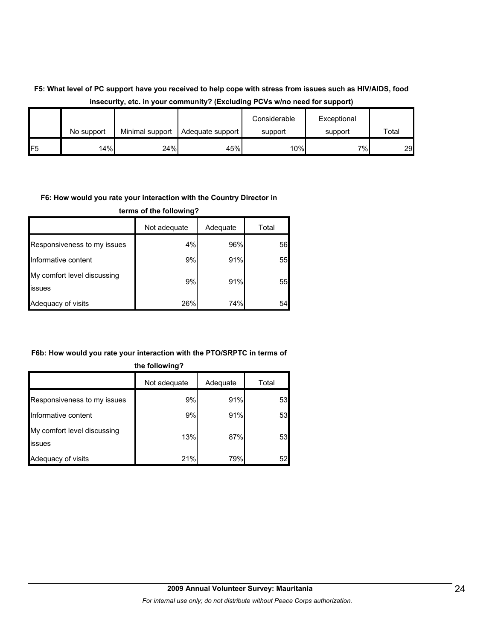## **F5: What level of PC support have you received to help cope with stress from issues such as HIV/AIDS, food insecurity, etc. in your community? (Excluding PCVs w/no need for support)**

|                |            |                 |                  | Considerable | Exceptional |       |
|----------------|------------|-----------------|------------------|--------------|-------------|-------|
|                | No support | Minimal support | Adequate support | support      | support     | Total |
| F <sub>5</sub> | 14%        | 24%             | 45%              | $10\%$       | $7\%$       | 29    |

#### **F6: How would you rate your interaction with the Country Director in**

**terms of the following?**

|                                       | Not adequate | Adequate | Total |
|---------------------------------------|--------------|----------|-------|
| Responsiveness to my issues           | 4%           | 96%      | 56    |
| Informative content                   | 9%           | 91%      | 55    |
| My comfort level discussing<br>issues | 9%           | 91%      | 551   |
| Adequacy of visits                    | 26%          | 74%      | 54    |

#### **F6b: How would you rate your interaction with the PTO/SRPTC in terms of**

| the following?                        |              |          |       |  |
|---------------------------------------|--------------|----------|-------|--|
|                                       | Not adequate | Adequate | Total |  |
| Responsiveness to my issues           | 9%           | 91%      | 53    |  |
| Informative content                   | 9%           | 91%      | 53    |  |
| My comfort level discussing<br>issues | 13%          | 87%      | 53    |  |
| Adequacy of visits                    | 21%          | 79%      | 52    |  |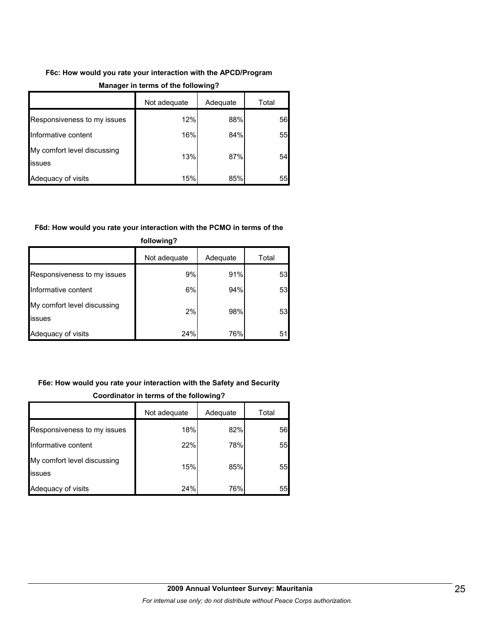## **F6c: How would you rate your interaction with the APCD/Program**

|                                              | Not adequate | Adequate | Total |
|----------------------------------------------|--------------|----------|-------|
| Responsiveness to my issues                  | 12%          | 88%      | 56    |
| Informative content                          | 16%          | 84%      | 55    |
| My comfort level discussing<br><b>issues</b> | 13%          | 87%      | 54    |
| Adequacy of visits                           | 15%          | 85%      | 55    |

#### **Manager in terms of the following?**

#### **F6d: How would you rate your interaction with the PCMO in terms of the**

| .                                             |              |          |       |  |
|-----------------------------------------------|--------------|----------|-------|--|
|                                               | Not adequate | Adequate | Total |  |
| Responsiveness to my issues                   | 9%           | 91%      | 53    |  |
| Informative content                           | 6%           | 94%      | 53    |  |
| My comfort level discussing<br><b>lissues</b> | 2%           | 98%      | 53    |  |
| Adequacy of visits                            | 24%          | 76%      | 51    |  |

# **following?**

## **F6e: How would you rate your interaction with the Safety and Security Coordinator in terms of the following?**

|                                       | Not adequate | Adequate | Total |
|---------------------------------------|--------------|----------|-------|
| Responsiveness to my issues           | 18%          | 82%      | 56    |
| Informative content                   | 22%          | 78%      | 55    |
| My comfort level discussing<br>issues | 15%          | 85%      | 55    |
| Adequacy of visits                    | 24%          | 76%      | 55    |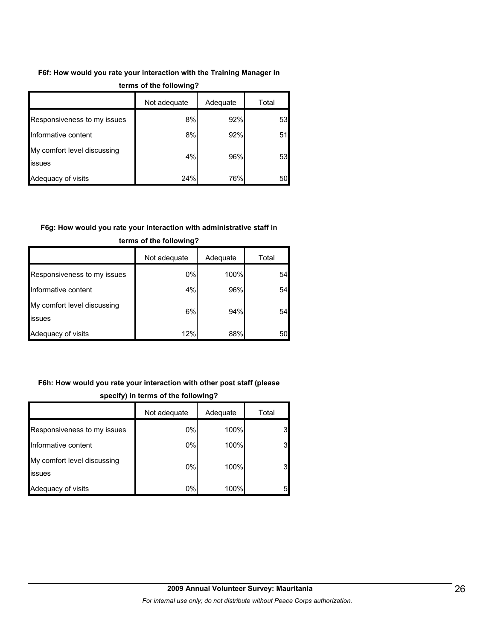## **F6f: How would you rate your interaction with the Training Manager in**

|                                              | Not adequate | Adequate | Total |
|----------------------------------------------|--------------|----------|-------|
| Responsiveness to my issues                  | 8%           | 92%      | 53    |
| Informative content                          | 8%           | 92%      | 51    |
| My comfort level discussing<br><b>issues</b> | 4%           | 96%      | 53    |
| Adequacy of visits                           | 24%          | 76%      | 50    |

#### **terms of the following?**

#### **F6g: How would you rate your interaction with administrative staff in**

|                                       | Not adequate | Adequate | Total |
|---------------------------------------|--------------|----------|-------|
| Responsiveness to my issues           | $0\%$        | 100%     | 54    |
| Informative content                   | 4%           | 96%      | 54    |
| My comfort level discussing<br>issues | 6%           | 94%      | 54    |
| Adequacy of visits                    | 12%          | 88%      | 50    |

#### **terms of the following?**

## **F6h: How would you rate your interaction with other post staff (please**

|                                       | Not adequate | Adequate | Total |
|---------------------------------------|--------------|----------|-------|
| Responsiveness to my issues           | 0%           | 100%     | 3     |
| Informative content                   | 0%           | 100%     | 3     |
| My comfort level discussing<br>issues | 0%           | 100%     | 3     |
| Adequacy of visits                    | 0%           | 100%     | 5     |

#### **specify) in terms of the following?**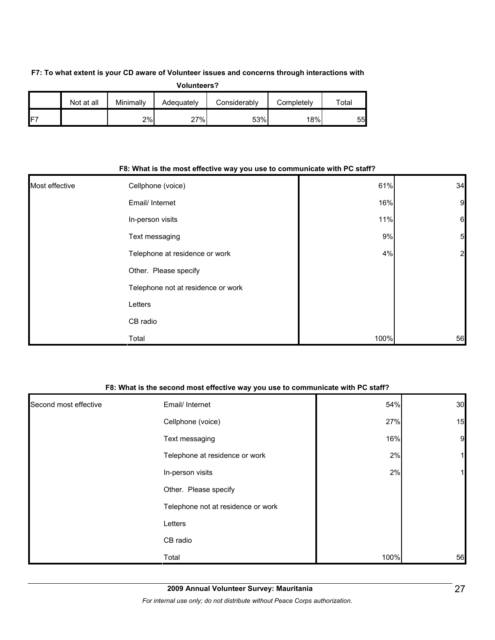#### **F7: To what extent is your CD aware of Volunteer issues and concerns through interactions with**

| Volunteers? |  |
|-------------|--|
|             |  |

|     | Not at all | Minimally | Adequately | Considerably | Completelv | $\tau$ otal |
|-----|------------|-----------|------------|--------------|------------|-------------|
| IF7 |            | 2%        | 27%        | 53%          | 18%        | 55          |

|                | For Write is the most enective way you use to communicate with FC star r |      |                 |  |
|----------------|--------------------------------------------------------------------------|------|-----------------|--|
| Most effective | Cellphone (voice)                                                        | 61%  | 34              |  |
|                | Email/ Internet                                                          | 16%  | $\overline{9}$  |  |
|                | In-person visits                                                         | 11%  | $6\phantom{1}6$ |  |
|                | Text messaging                                                           | 9%   | 5               |  |
|                | Telephone at residence or work                                           | 4%   | $\overline{a}$  |  |
|                | Other. Please specify                                                    |      |                 |  |
|                | Telephone not at residence or work                                       |      |                 |  |
|                | Letters                                                                  |      |                 |  |
|                | CB radio                                                                 |      |                 |  |
|                | Total                                                                    | 100% | 56              |  |

#### **F8: What is the most effective way you use to communicate with PC staff?**

#### **F8: What is the second most effective way you use to communicate with PC staff?**

| Second most effective | Email/ Internet                    | 54%  | 30           |
|-----------------------|------------------------------------|------|--------------|
|                       | Cellphone (voice)                  | 27%  | 15           |
|                       | Text messaging                     | 16%  | 9            |
|                       | Telephone at residence or work     | 2%   | $\mathbf{1}$ |
|                       | In-person visits                   | 2%   | $1\vert$     |
|                       | Other. Please specify              |      |              |
|                       | Telephone not at residence or work |      |              |
|                       | Letters                            |      |              |
|                       | CB radio                           |      |              |
|                       | Total                              | 100% | 56           |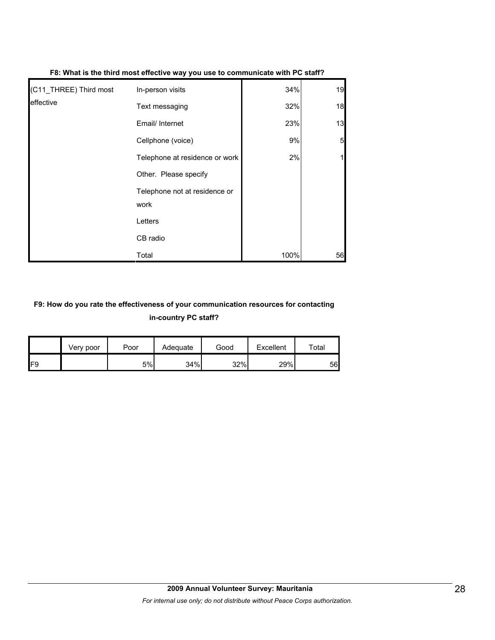| (C11_THREE) Third most | In-person visits                      | 34%  | 19              |
|------------------------|---------------------------------------|------|-----------------|
| effective              | Text messaging                        | 32%  | 18              |
|                        | Email/ Internet                       | 23%  | 13              |
|                        | Cellphone (voice)                     | 9%   | $5\overline{)}$ |
|                        | Telephone at residence or work        | 2%   |                 |
|                        | Other. Please specify                 |      |                 |
|                        | Telephone not at residence or<br>work |      |                 |
|                        | Letters                               |      |                 |
|                        | CB radio                              |      |                 |
|                        | Total                                 | 100% | 56              |

#### **F8: What is the third most effective way you use to communicate with PC staff?**

## **F9: How do you rate the effectiveness of your communication resources for contacting in-country PC staff?**

|                 | Very poor | Poor | Adequate | Good | Excellent | $\tau$ otal |
|-----------------|-----------|------|----------|------|-----------|-------------|
| IF <sub>9</sub> |           | 5%   | 34%      | 32%  | 29%       | 56          |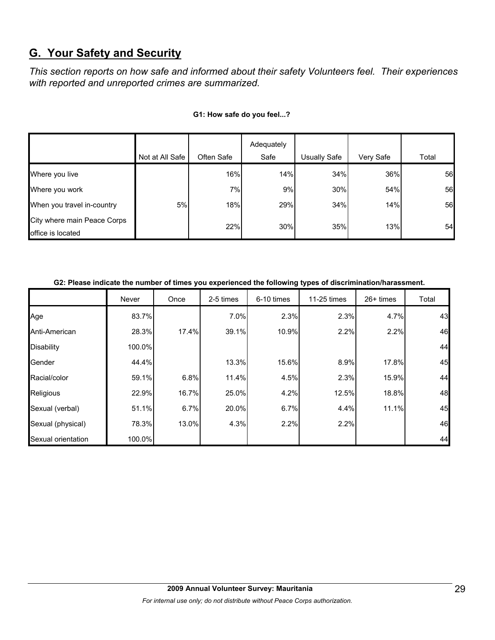# **G. Your Safety and Security**

*This section reports on how safe and informed about their safety Volunteers feel. Their experiences with reported and unreported crimes are summarized.* 

|                                                  |                 |            | Adequately |              |           |       |
|--------------------------------------------------|-----------------|------------|------------|--------------|-----------|-------|
|                                                  | Not at All Safe | Often Safe | Safe       | Usually Safe | Very Safe | Total |
| Where you live                                   |                 | 16%        | 14%        | 34%          | 36%       | 56    |
| Where you work                                   |                 | 7%         | 9%         | 30%          | 54%       | 56    |
| When you travel in-country                       | 5%              | 18%        | 29%        | 34%          | 14%       | 56    |
| City where main Peace Corps<br>office is located |                 | 22%        | 30%        | 35%          | 13%       | 54    |

#### **G1: How safe do you feel...?**

| G2: Please indicate the number of times you experienced the following types of discrimination/harassment. |  |
|-----------------------------------------------------------------------------------------------------------|--|
|                                                                                                           |  |

|                    | Never  | Once  | 2-5 times | 6-10 times | 11-25 times | $26+$ times | Total |
|--------------------|--------|-------|-----------|------------|-------------|-------------|-------|
| Age                | 83.7%  |       | 7.0%      | 2.3%       | 2.3%        | 4.7%        | 43    |
| Anti-American      | 28.3%  | 17.4% | 39.1%     | 10.9%      | 2.2%        | 2.2%        | 46    |
| <b>Disability</b>  | 100.0% |       |           |            |             |             | 44    |
| Gender             | 44.4%  |       | 13.3%     | 15.6%      | 8.9%        | 17.8%       | 45    |
| Racial/color       | 59.1%  | 6.8%  | 11.4%     | 4.5%       | 2.3%        | 15.9%       | 44    |
| Religious          | 22.9%  | 16.7% | 25.0%     | 4.2%       | 12.5%       | 18.8%       | 48    |
| Sexual (verbal)    | 51.1%  | 6.7%  | 20.0%     | 6.7%       | 4.4%        | 11.1%       | 45    |
| Sexual (physical)  | 78.3%  | 13.0% | 4.3%      | 2.2%       | 2.2%        |             | 46    |
| Sexual orientation | 100.0% |       |           |            |             |             | 44    |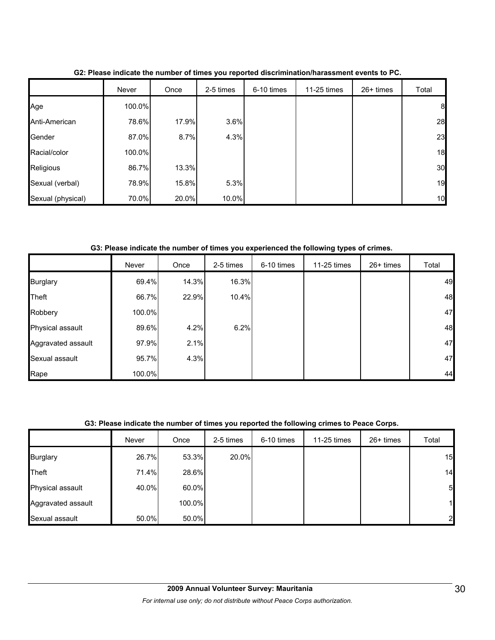|                   | Never  | Once  | 2-5 times | 6-10 times | 11-25 times | 26+ times | Total |
|-------------------|--------|-------|-----------|------------|-------------|-----------|-------|
| Age               | 100.0% |       |           |            |             |           | 8     |
| Anti-American     | 78.6%  | 17.9% | 3.6%      |            |             |           | 28    |
| Gender            | 87.0%  | 8.7%  | 4.3%      |            |             |           | 23    |
| Racial/color      | 100.0% |       |           |            |             |           | 18    |
| Religious         | 86.7%  | 13.3% |           |            |             |           | 30    |
| Sexual (verbal)   | 78.9%  | 15.8% | 5.3%      |            |             |           | 19    |
| Sexual (physical) | 70.0%  | 20.0% | 10.0%     |            |             |           | 10    |

**G2: Please indicate the number of times you reported discrimination/harassment events to PC.**

**G3: Please indicate the number of times you experienced the following types of crimes.**

|                    | Never  | Once  | 2-5 times | 6-10 times | 11-25 times | $26+$ times | Total |
|--------------------|--------|-------|-----------|------------|-------------|-------------|-------|
| <b>Burglary</b>    | 69.4%  | 14.3% | 16.3%     |            |             |             | 49    |
| Theft              | 66.7%  | 22.9% | 10.4%     |            |             |             | 48    |
| Robbery            | 100.0% |       |           |            |             |             | 47    |
| Physical assault   | 89.6%  | 4.2%  | 6.2%      |            |             |             | 48    |
| Aggravated assault | 97.9%  | 2.1%  |           |            |             |             | 47    |
| Sexual assault     | 95.7%  | 4.3%  |           |            |             |             | 47    |
| Rape               | 100.0% |       |           |            |             |             | 44    |

#### **G3: Please indicate the number of times you reported the following crimes to Peace Corps.**

|                    | Never | Once     | 2-5 times | 6-10 times | 11-25 times | 26+ times | Total          |
|--------------------|-------|----------|-----------|------------|-------------|-----------|----------------|
| <b>Burglary</b>    | 26.7% | 53.3%    | 20.0%     |            |             |           | 15             |
| Theft              | 71.4% | 28.6%    |           |            |             |           | 14             |
| Physical assault   | 40.0% | $60.0\%$ |           |            |             |           | 5 <sub>l</sub> |
| Aggravated assault |       | 100.0%   |           |            |             |           | 11             |
| Sexual assault     | 50.0% | 50.0%    |           |            |             |           | 2              |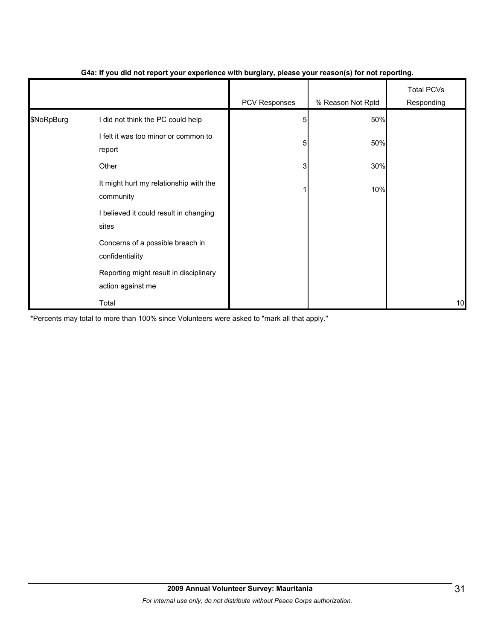|            |                                                             | .             | $\mathbf{v}$      |                                 |
|------------|-------------------------------------------------------------|---------------|-------------------|---------------------------------|
|            |                                                             | PCV Responses | % Reason Not Rptd | <b>Total PCVs</b><br>Responding |
| \$NoRpBurg | I did not think the PC could help                           | 5             | 50%               |                                 |
|            | I felt it was too minor or common to<br>report              | 5             | 50%               |                                 |
|            | Other                                                       | 3             | 30%               |                                 |
|            | It might hurt my relationship with the<br>community         |               | 10%               |                                 |
|            | I believed it could result in changing<br>sites             |               |                   |                                 |
|            | Concerns of a possible breach in<br>confidentiality         |               |                   |                                 |
|            | Reporting might result in disciplinary<br>action against me |               |                   |                                 |
|            | Total                                                       |               |                   | 10                              |

#### **G4a: If you did not report your experience with burglary, please your reason(s) for not reporting.**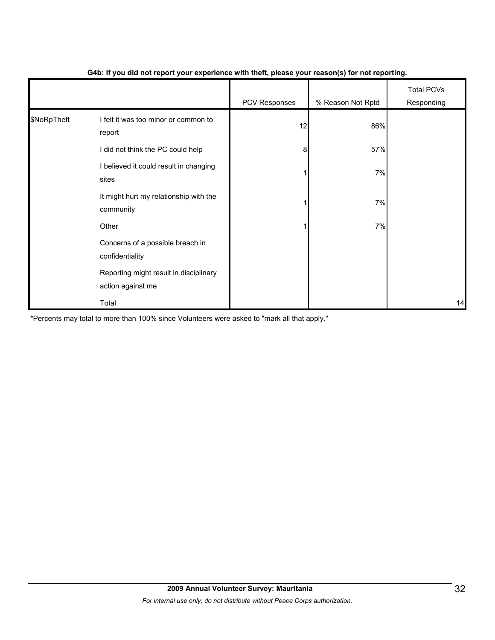|             |                                                             | - 1           | $\mathbf{v}$      |                                 |
|-------------|-------------------------------------------------------------|---------------|-------------------|---------------------------------|
|             |                                                             | PCV Responses | % Reason Not Rptd | <b>Total PCVs</b><br>Responding |
| \$NoRpTheft | I felt it was too minor or common to<br>report              | 12            | 86%               |                                 |
|             | I did not think the PC could help                           | 8             | 57%               |                                 |
|             | I believed it could result in changing<br>sites             |               | 7%                |                                 |
|             | It might hurt my relationship with the<br>community         |               | 7%                |                                 |
|             | Other                                                       |               | 7%                |                                 |
|             | Concerns of a possible breach in<br>confidentiality         |               |                   |                                 |
|             | Reporting might result in disciplinary<br>action against me |               |                   |                                 |
|             | Total                                                       |               |                   | 14                              |

#### **G4b: If you did not report your experience with theft, please your reason(s) for not reporting.**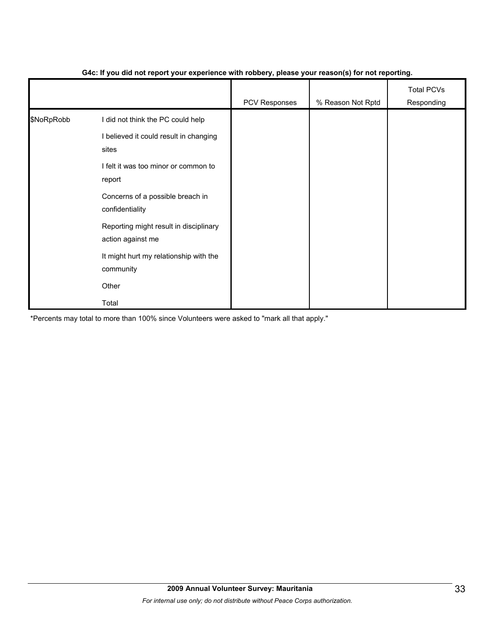|            |                                                             | PCV Responses | % Reason Not Rptd | <b>Total PCVs</b><br>Responding |
|------------|-------------------------------------------------------------|---------------|-------------------|---------------------------------|
| \$NoRpRobb | I did not think the PC could help                           |               |                   |                                 |
|            | I believed it could result in changing<br>sites             |               |                   |                                 |
|            | I felt it was too minor or common to<br>report              |               |                   |                                 |
|            | Concerns of a possible breach in<br>confidentiality         |               |                   |                                 |
|            | Reporting might result in disciplinary<br>action against me |               |                   |                                 |
|            | It might hurt my relationship with the<br>community         |               |                   |                                 |
|            | Other                                                       |               |                   |                                 |
|            | Total                                                       |               |                   |                                 |

#### **G4c: If you did not report your experience with robbery, please your reason(s) for not reporting.**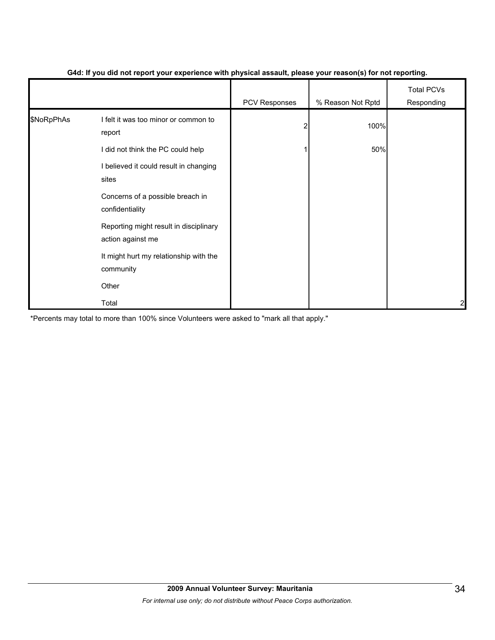|            |                                                             | . .           | $\mathbf{v}$      |                                 |
|------------|-------------------------------------------------------------|---------------|-------------------|---------------------------------|
|            |                                                             | PCV Responses | % Reason Not Rptd | <b>Total PCVs</b><br>Responding |
| \$NoRpPhAs | I felt it was too minor or common to<br>report              | 2             | 100%              |                                 |
|            | I did not think the PC could help                           |               | 50%               |                                 |
|            | I believed it could result in changing<br>sites             |               |                   |                                 |
|            | Concerns of a possible breach in<br>confidentiality         |               |                   |                                 |
|            | Reporting might result in disciplinary<br>action against me |               |                   |                                 |
|            | It might hurt my relationship with the<br>community         |               |                   |                                 |
|            | Other                                                       |               |                   |                                 |
|            | Total                                                       |               |                   | 2                               |

#### **G4d: If you did not report your experience with physical assault, please your reason(s) for not reporting.**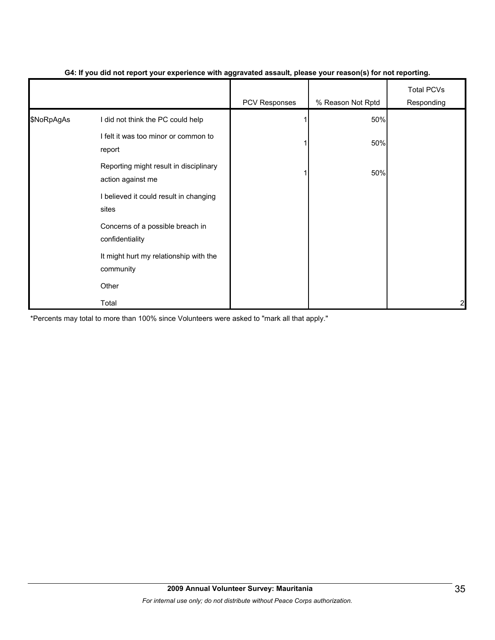|            |                                                             | --<br>$\cdot$ . | $\cdot$ $\cdot$   |                                 |
|------------|-------------------------------------------------------------|-----------------|-------------------|---------------------------------|
|            |                                                             | PCV Responses   | % Reason Not Rptd | <b>Total PCVs</b><br>Responding |
| \$NoRpAgAs | I did not think the PC could help                           |                 | 50%               |                                 |
|            | I felt it was too minor or common to<br>report              |                 | 50%               |                                 |
|            | Reporting might result in disciplinary<br>action against me |                 | 50%               |                                 |
|            | I believed it could result in changing<br>sites             |                 |                   |                                 |
|            | Concerns of a possible breach in<br>confidentiality         |                 |                   |                                 |
|            | It might hurt my relationship with the<br>community         |                 |                   |                                 |
|            | Other                                                       |                 |                   |                                 |
|            | Total                                                       |                 |                   | 2                               |

#### **G4: If you did not report your experience with aggravated assault, please your reason(s) for not reporting.**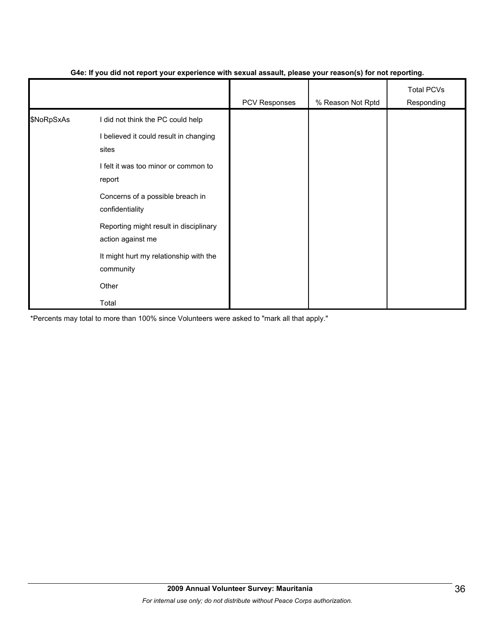|            |                                                             | PCV Responses | % Reason Not Rptd | <b>Total PCVs</b><br>Responding |
|------------|-------------------------------------------------------------|---------------|-------------------|---------------------------------|
| \$NoRpSxAs | I did not think the PC could help                           |               |                   |                                 |
|            | I believed it could result in changing<br>sites             |               |                   |                                 |
|            | I felt it was too minor or common to<br>report              |               |                   |                                 |
|            | Concerns of a possible breach in<br>confidentiality         |               |                   |                                 |
|            | Reporting might result in disciplinary<br>action against me |               |                   |                                 |
|            | It might hurt my relationship with the<br>community         |               |                   |                                 |
|            | Other                                                       |               |                   |                                 |
|            | Total                                                       |               |                   |                                 |

#### **G4e: If you did not report your experience with sexual assault, please your reason(s) for not reporting.**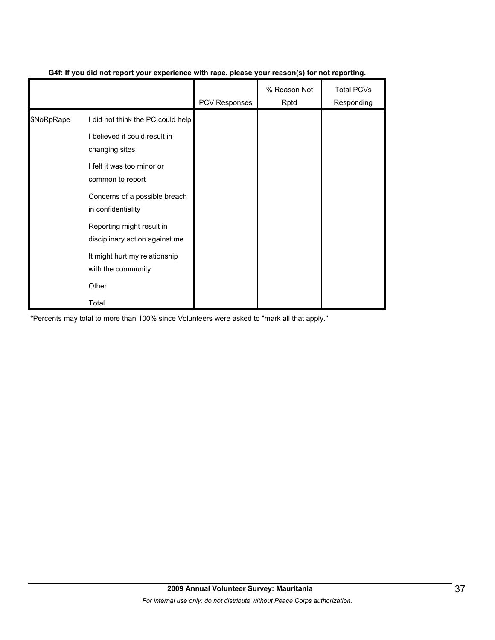|            |                                                             | <b>PCV Responses</b> | % Reason Not<br>Rptd | <b>Total PCVs</b><br>Responding |
|------------|-------------------------------------------------------------|----------------------|----------------------|---------------------------------|
| \$NoRpRape | I did not think the PC could help                           |                      |                      |                                 |
|            | I believed it could result in<br>changing sites             |                      |                      |                                 |
|            | I felt it was too minor or<br>common to report              |                      |                      |                                 |
|            | Concerns of a possible breach<br>in confidentiality         |                      |                      |                                 |
|            | Reporting might result in<br>disciplinary action against me |                      |                      |                                 |
|            | It might hurt my relationship<br>with the community         |                      |                      |                                 |
|            | Other                                                       |                      |                      |                                 |
|            | Total                                                       |                      |                      |                                 |

#### **G4f: If you did not report your experience with rape, please your reason(s) for not reporting.**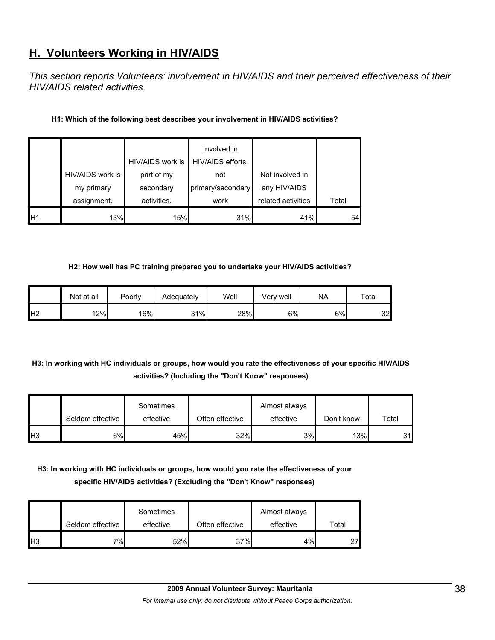# **H. Volunteers Working in HIV/AIDS**

*This section reports Volunteers' involvement in HIV/AIDS and their perceived effectiveness of their HIV/AIDS related activities.* 

#### **H1: Which of the following best describes your involvement in HIV/AIDS activities?**

|                 |                  | HIV/AIDS work is | Involved in<br>HIV/AIDS efforts, |                    |       |
|-----------------|------------------|------------------|----------------------------------|--------------------|-------|
|                 | HIV/AIDS work is | part of my       | not                              | Not involved in    |       |
|                 | my primary       | secondary        | primary/secondary                | any HIV/AIDS       |       |
|                 | assignment.      | activities.      | work                             | related activities | Total |
| IH <sub>1</sub> | 13%              | 15%              | 31%                              | 41%                | 54    |

#### **H2: How well has PC training prepared you to undertake your HIV/AIDS activities?**

|                | Not at all | Poorly | Adequately | Well | Verv well | <b>NA</b> | Total |
|----------------|------------|--------|------------|------|-----------|-----------|-------|
| H <sub>2</sub> | 12%        | 16%    | 31%        | 28%  | 6%        | $6\%$     | 32    |

## **H3: In working with HC individuals or groups, how would you rate the effectiveness of your specific HIV/AIDS activities? (Including the "Don't Know" responses)**

|                 | Seldom effective | Sometimes<br>effective | Often effective | Almost always<br>effective | Don't know | Total |
|-----------------|------------------|------------------------|-----------------|----------------------------|------------|-------|
| IH <sub>3</sub> | 6%l              | 45%                    | 32%             | 3%                         | 13%        | 31    |

## **H3: In working with HC individuals or groups, how would you rate the effectiveness of your specific HIV/AIDS activities? (Excluding the "Don't Know" responses)**

|     | Seldom effective | Sometimes<br>effective | Often effective | Almost always<br>effective | Total |
|-----|------------------|------------------------|-----------------|----------------------------|-------|
| lН3 | 7%               | 52%                    | 37%             | 4%                         | 27    |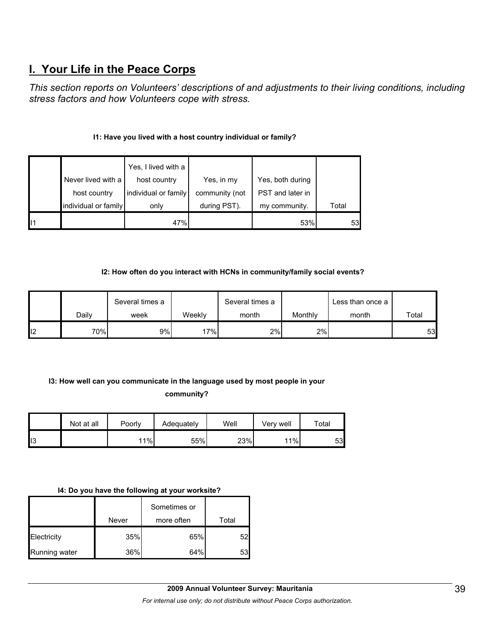# **I. Your Life in the Peace Corps**

*This section reports on Volunteers' descriptions of and adjustments to their living conditions, including stress factors and how Volunteers cope with stress.* 

#### **I1: Have you lived with a host country individual or family?**

|                      | Yes, I lived with a  |                |                  |       |
|----------------------|----------------------|----------------|------------------|-------|
| Never lived with a   | host country         | Yes, in my     | Yes, both during |       |
| host country         | individual or family | community (not | PST and later in |       |
| individual or family | only                 | during PST).   | my community.    | Total |
|                      | 47%                  |                | 53%              | 53    |

#### **I2: How often do you interact with HCNs in community/family social events?**

|     | Several times a |      | Several times a |       | Less than once a |       |       |
|-----|-----------------|------|-----------------|-------|------------------|-------|-------|
|     | Dailv           | week | Weeklv          | month | Monthly          | month | Total |
| 112 | 70%             | 9%   | 17%             | 2%    | 2%               |       | 53    |

## **I3: How well can you communicate in the language used by most people in your community?**

|    | Not at all | Poorly | Adequately | Well | Verv well | $\tau$ otal |
|----|------------|--------|------------|------|-----------|-------------|
| 13 |            | 11%    | 55%        | 23%  | 11%       | 53          |

#### **I4: Do you have the following at your worksite?**

|               | Never | Sometimes or<br>more often | Total |
|---------------|-------|----------------------------|-------|
| Electricity   | 35%   | 65%                        | 52    |
| Running water | 36%   | 64%                        | 53    |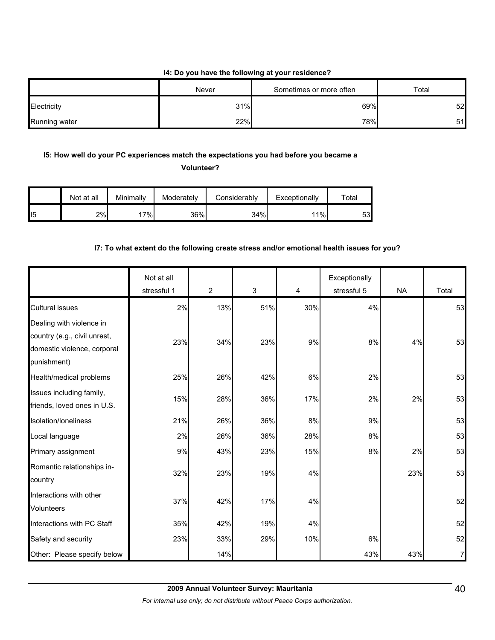#### **I4: Do you have the following at your residence?**

|               | Never | Sometimes or more often | Total |
|---------------|-------|-------------------------|-------|
| Electricity   | 31%   | 69%                     | 52    |
| Running water | 22%   | 78%                     | 51    |

## **I5: How well do your PC experiences match the expectations you had before you became a**

**Volunteer?** 

|                 | Not at all | Minimally | Moderately | Considerably | Exceptionally | $\tau$ otal |
|-----------------|------------|-----------|------------|--------------|---------------|-------------|
| II <sub>5</sub> | 2%         | 7%.       | 36%        | 34%          | 11%           | 53          |

#### **I7: To what extent do the following create stress and/or emotional health issues for you?**

|                                                                                                        | Not at all<br>stressful 1 | $\overline{2}$ | $\mathfrak{S}$ | 4   | Exceptionally<br>stressful 5 | <b>NA</b> | Total          |
|--------------------------------------------------------------------------------------------------------|---------------------------|----------------|----------------|-----|------------------------------|-----------|----------------|
| <b>Cultural issues</b>                                                                                 | 2%                        | 13%            | 51%            | 30% | 4%                           |           | 53             |
| Dealing with violence in<br>country (e.g., civil unrest,<br>domestic violence, corporal<br>punishment) | 23%                       | 34%            | 23%            | 9%  | 8%                           | 4%        | 53             |
| Health/medical problems                                                                                | 25%                       | 26%            | 42%            | 6%  | 2%                           |           | 53             |
| Issues including family,<br>friends, loved ones in U.S.                                                | 15%                       | 28%            | 36%            | 17% | 2%                           | 2%        | 53             |
| Isolation/loneliness                                                                                   | 21%                       | 26%            | 36%            | 8%  | 9%                           |           | 53             |
| Local language                                                                                         | 2%                        | 26%            | 36%            | 28% | 8%                           |           | 53             |
| Primary assignment                                                                                     | 9%                        | 43%            | 23%            | 15% | 8%                           | 2%        | 53             |
| Romantic relationships in-<br>country                                                                  | 32%                       | 23%            | 19%            | 4%  |                              | 23%       | 53             |
| Interactions with other<br><b>Volunteers</b>                                                           | 37%                       | 42%            | 17%            | 4%  |                              |           | 52             |
| Interactions with PC Staff                                                                             | 35%                       | 42%            | 19%            | 4%  |                              |           | 52             |
| Safety and security                                                                                    | 23%                       | 33%            | 29%            | 10% | 6%                           |           | 52             |
| Other: Please specify below                                                                            |                           | 14%            |                |     | 43%                          | 43%       | $\overline{7}$ |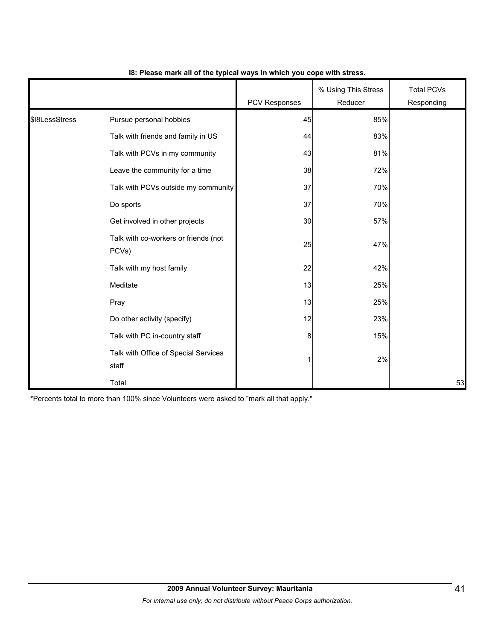|                | Pursue personal hobbies<br>Talk with friends and family in US<br>Talk with PCVs in my community<br>Leave the community for a time<br>Do sports<br>Get involved in other projects<br>Talk with co-workers or friends (not<br>PCVs)<br>Talk with my host family<br>Meditate | <b>PCV Responses</b> | % Using This Stress<br>Reducer | <b>Total PCVs</b><br>Responding |
|----------------|---------------------------------------------------------------------------------------------------------------------------------------------------------------------------------------------------------------------------------------------------------------------------|----------------------|--------------------------------|---------------------------------|
| \$18LessStress |                                                                                                                                                                                                                                                                           | 45                   | 85%                            |                                 |
|                |                                                                                                                                                                                                                                                                           | 44                   | 83%                            |                                 |
|                |                                                                                                                                                                                                                                                                           | 43                   | 81%                            |                                 |
|                |                                                                                                                                                                                                                                                                           | 38                   | 72%                            |                                 |
|                | Talk with PCVs outside my community                                                                                                                                                                                                                                       | 37                   | 70%                            |                                 |
|                |                                                                                                                                                                                                                                                                           | 37                   | 70%                            |                                 |
|                |                                                                                                                                                                                                                                                                           | 30                   | 57%                            |                                 |
|                |                                                                                                                                                                                                                                                                           | 25                   | 47%                            |                                 |
|                |                                                                                                                                                                                                                                                                           | 22                   | 42%                            |                                 |
|                |                                                                                                                                                                                                                                                                           | 13                   | 25%                            |                                 |
|                | Pray                                                                                                                                                                                                                                                                      | 13                   | 25%                            |                                 |
|                | Do other activity (specify)                                                                                                                                                                                                                                               | 12                   | 23%                            |                                 |
|                | Talk with PC in-country staff                                                                                                                                                                                                                                             | $\boldsymbol{8}$     | 15%                            |                                 |
|                | Talk with Office of Special Services<br>staff                                                                                                                                                                                                                             | 11                   | 2%                             |                                 |
|                | Total                                                                                                                                                                                                                                                                     |                      |                                | 53                              |

#### **I8: Please mark all of the typical ways in which you cope with stress.**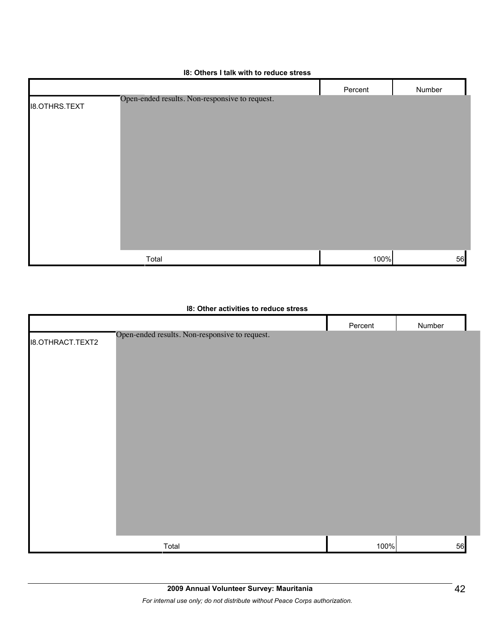|                      |                                                | Percent | Number |
|----------------------|------------------------------------------------|---------|--------|
| <b>I8.OTHRS.TEXT</b> | Open-ended results. Non-responsive to request. |         |        |
|                      |                                                |         |        |
|                      |                                                |         |        |
|                      |                                                |         |        |
|                      |                                                |         |        |
|                      |                                                |         |        |
|                      |                                                |         |        |
|                      |                                                |         |        |
|                      |                                                |         |        |
|                      |                                                |         |        |
|                      | Total                                          | 100%    | 56     |

#### **I8: Others I talk with to reduce stress**

#### **I8: Other activities to reduce stress**

|                         |                                                | Percent | Number |
|-------------------------|------------------------------------------------|---------|--------|
| <b>I8.OTHRACT.TEXT2</b> | Open-ended results. Non-responsive to request. |         |        |
|                         |                                                |         |        |
|                         |                                                |         |        |
|                         |                                                |         |        |
|                         |                                                |         |        |
|                         |                                                |         |        |
|                         |                                                |         |        |
|                         |                                                |         |        |
|                         |                                                |         |        |
|                         |                                                |         |        |
|                         | Total                                          | 100%    |        |
|                         |                                                |         | 56     |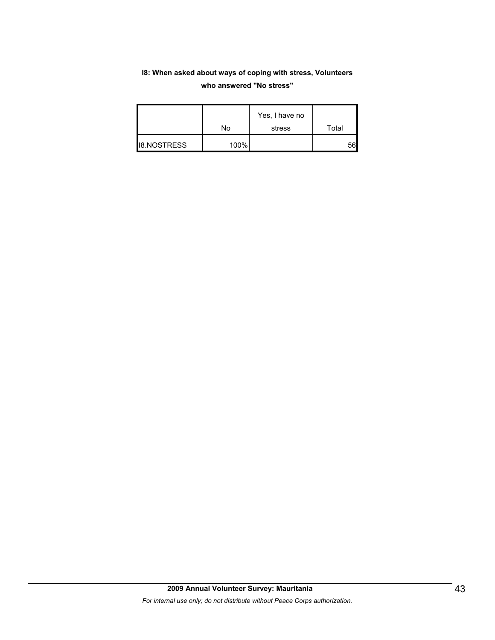## **I8: When asked about ways of coping with stress, Volunteers who answered "No stress"**

|                    | No   | Yes, I have no<br>stress | Total |
|--------------------|------|--------------------------|-------|
| <b>I8.NOSTRESS</b> | 100% |                          | 56    |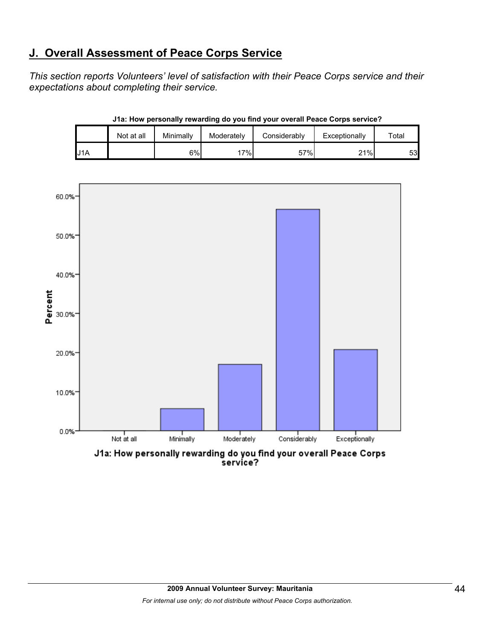# **J. Overall Assessment of Peace Corps Service**

*This section reports Volunteers' level of satisfaction with their Peace Corps service and their expectations about completing their service.* 

|     | Not at all | Minimally | Moderately | Considerably | Exceptionally | Total |
|-----|------------|-----------|------------|--------------|---------------|-------|
| J1A |            | 6%        | $7\%$      | 57%          | 21%           | 53    |

**J1a: How personally rewarding do you find your overall Peace Corps service?**



J1a: How personally rewarding do you find your overall Peace Corps<br>service?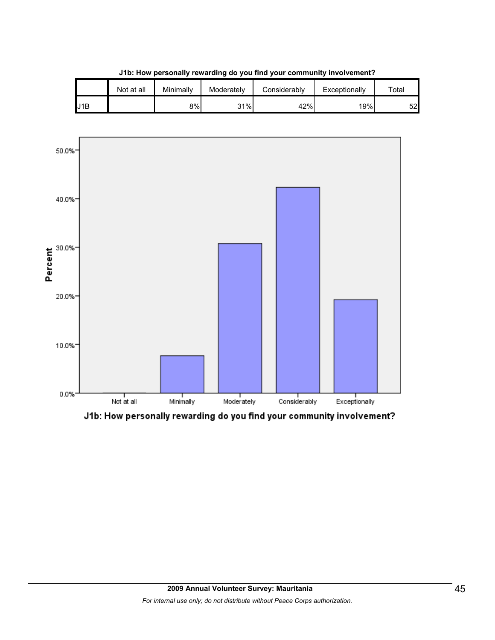|     | Not at all | Minimallv | Moderately | Considerably | Exceptionally | $\tau$ otal |
|-----|------------|-----------|------------|--------------|---------------|-------------|
| J1B |            | 8%        | 31%        | 42%          | 19%           | 52          |

**J1b: How personally rewarding do you find your community involvement?**



J1b: How personally rewarding do you find your community involvement?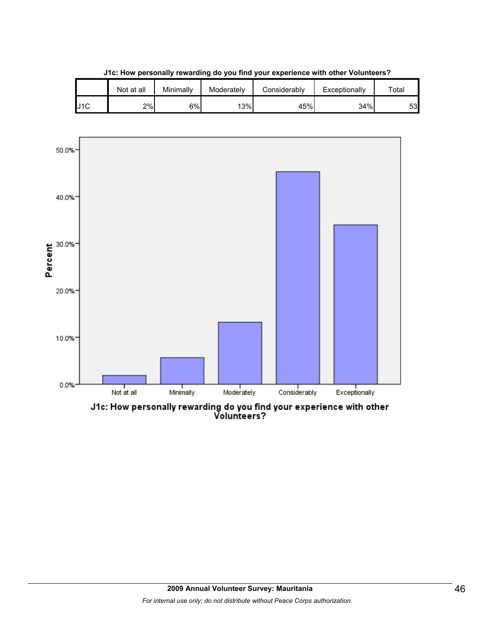|     | Not at all | Minimally | Moderately | Considerablv | Exceptionally | $\tau$ otal |
|-----|------------|-----------|------------|--------------|---------------|-------------|
| J1C | 2%         | 6%        | 13%        | 45%          | 34%           | 53          |

**J1c: How personally rewarding do you find your experience with other Volunteers?**



J1c: How personally rewarding do you find your experience with other<br>Volunteers?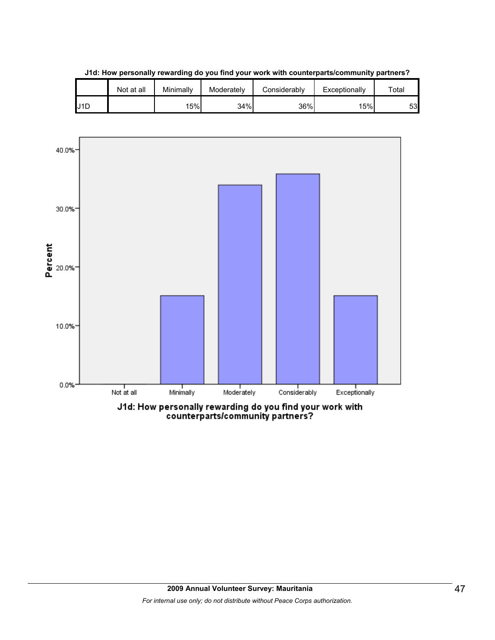|     | Not at all | Minimally | Moderately | Considerably | Exceptionally | $\tau$ otal |
|-----|------------|-----------|------------|--------------|---------------|-------------|
| J1D |            | 15%       | 34%        | 36%          | 15%           | 53          |

**J1d: How personally rewarding do you find your work with counterparts/community partners?**

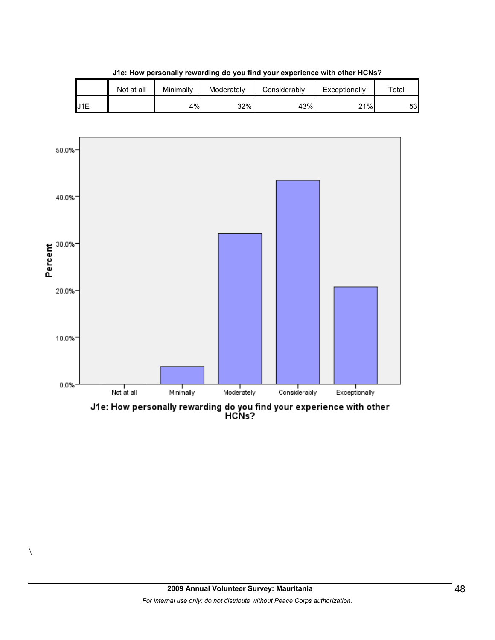|     | Not at all | Minimally | Moderately | Considerablv | Exceptionally | $\tau$ otal |
|-----|------------|-----------|------------|--------------|---------------|-------------|
| J1E |            | 4%        | 32%        | 43%          | 21%           | 53          |

**J1e: How personally rewarding do you find your experience with other HCNs?**



J1e: How personally rewarding do you find your experience with other<br>HCNs?

 $\setminus$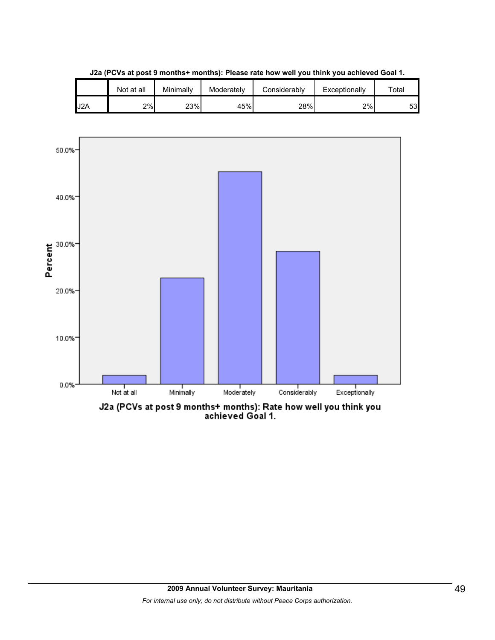

**J2a (PCVs at post 9 months+ months): Please rate how well you think you achieved Goal 1.**

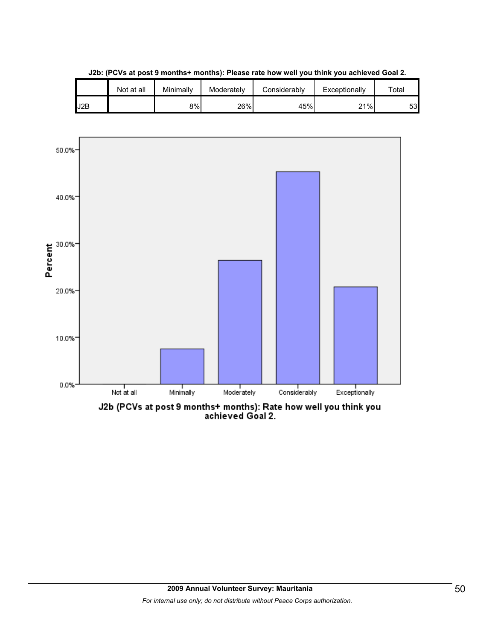

**J2b: (PCVs at post 9 months+ months): Please rate how well you think you achieved Goal 2.**

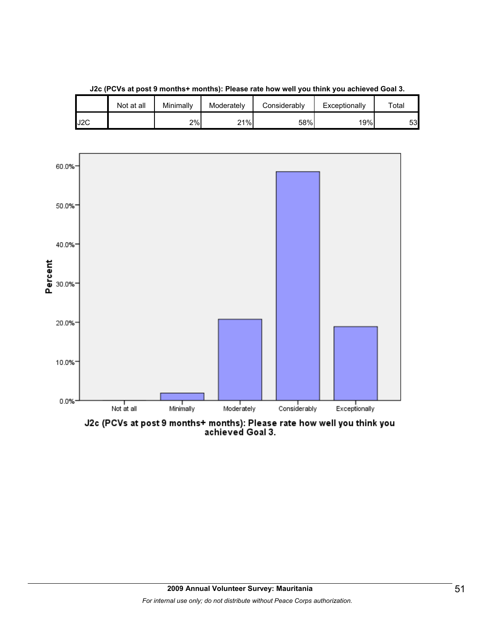

**J2c (PCVs at post 9 months+ months): Please rate how well you think you achieved Goal 3.**

J2C 2% 21% 58% 19% 53

Not at all | Minimally | Moderately | Considerably | Exceptionally | Total

J2c (PCVs at post 9 months+ months): Please rate how well you think you<br>achieved Goal 3.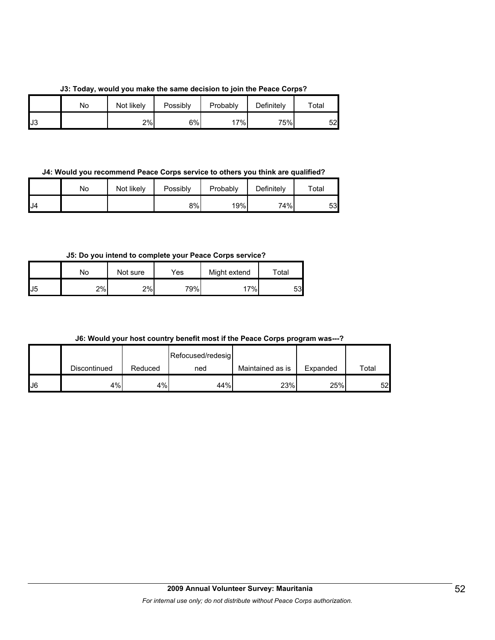|  |  |  |  |  |  | J3: Today, would you make the same decision to join the Peace Corps? |  |  |  |  |  |  |
|--|--|--|--|--|--|----------------------------------------------------------------------|--|--|--|--|--|--|
|--|--|--|--|--|--|----------------------------------------------------------------------|--|--|--|--|--|--|

|    | No | Not likely | Possibly | Probably | Definitely | Total |
|----|----|------------|----------|----------|------------|-------|
| J3 |    | 2%         | 6%       | 17%      | 75%        | 52    |

**J4: Would you recommend Peace Corps service to others you think are qualified?**

|     | No | Not likely | Possibly | Probably | Definitely | Total |
|-----|----|------------|----------|----------|------------|-------|
| IJ4 |    |            | 8%       | 19%      | 74%        | 53    |

**J5: Do you intend to complete your Peace Corps service?**

|    | No | Not sure | Yes | Might extend | Total |
|----|----|----------|-----|--------------|-------|
| J5 | 2% | 2%       | 79% | 7%.          | 53    |

**J6: Would your host country benefit most if the Peace Corps program was---?**

|     |              |         | Refocused/redesig |                  |          |       |
|-----|--------------|---------|-------------------|------------------|----------|-------|
|     | Discontinued | Reduced | ned               | Maintained as is | Expanded | Total |
| IJ6 | 4%           | 4%      | 44%               | 23%              | 25%      | 521   |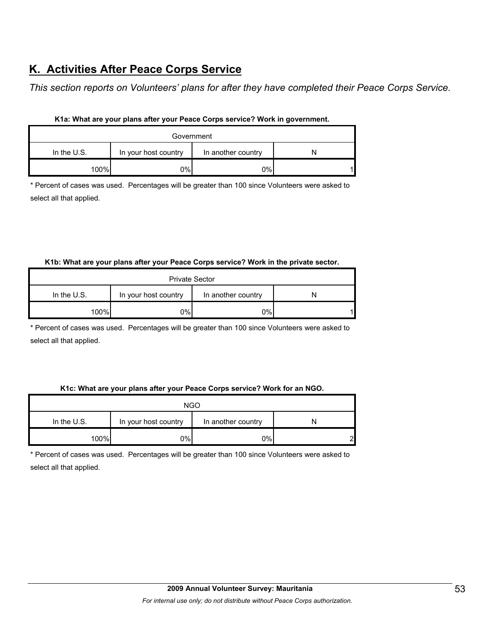# **K. Activities After Peace Corps Service**

*This section reports on Volunteers' plans for after they have completed their Peace Corps Service.* 

| Government    |                      |                    |  |  |  |
|---------------|----------------------|--------------------|--|--|--|
| In the $U.S.$ | In your host country | In another country |  |  |  |
| 100%          | 0%                   | 0%                 |  |  |  |

#### **K1a: What are your plans after your Peace Corps service? Work in government.**

\* Percent of cases was used. Percentages will be greater than 100 since Volunteers were asked to select all that applied.

#### **K1b: What are your plans after your Peace Corps service? Work in the private sector.**

| <b>Private Sector</b> |                      |                    |  |  |
|-----------------------|----------------------|--------------------|--|--|
| In the $U.S.$         | In your host country | In another country |  |  |
| 100%                  | 0%l                  | 0%                 |  |  |

\* Percent of cases was used. Percentages will be greater than 100 since Volunteers were asked to select all that applied.

#### **K1c: What are your plans after your Peace Corps service? Work for an NGO.**

| <b>NGO</b>                                                  |     |       |   |  |
|-------------------------------------------------------------|-----|-------|---|--|
| In the $U.S.$<br>In your host country<br>In another country |     |       |   |  |
| 100%                                                        | 0%l | $0\%$ | റ |  |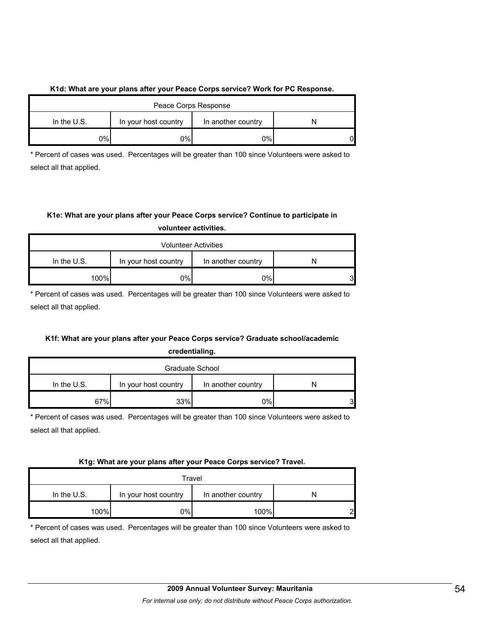#### **K1d: What are your plans after your Peace Corps service? Work for PC Response.**

| Peace Corps Response |                      |                    |    |  |
|----------------------|----------------------|--------------------|----|--|
| In the $U.S.$        | In your host country | In another country |    |  |
| 0%                   | ገ%                   | $0\%$              | 01 |  |

\* Percent of cases was used. Percentages will be greater than 100 since Volunteers were asked to select all that applied.

## **K1e: What are your plans after your Peace Corps service? Continue to participate in volunteer activities.**

| <b>Volunteer Activities</b> |                      |                    |    |  |  |
|-----------------------------|----------------------|--------------------|----|--|--|
| In the $U.S.$               | In your host country | In another country |    |  |  |
| 100%                        | 0%                   | 0%                 | 31 |  |  |

\* Percent of cases was used. Percentages will be greater than 100 since Volunteers were asked to select all that applied.

#### **K1f: What are your plans after your Peace Corps service? Graduate school/academic credentialing.**

|  | credentialing. |  |  |
|--|----------------|--|--|
|  |                |  |  |
|  |                |  |  |
|  |                |  |  |

| Graduate School                                             |      |    |   |  |
|-------------------------------------------------------------|------|----|---|--|
| In the $U.S.$<br>In another country<br>In your host country |      |    |   |  |
| 67%                                                         | 33%l | 0% | 3 |  |

\* Percent of cases was used. Percentages will be greater than 100 since Volunteers were asked to select all that applied.

#### **K1g: What are your plans after your Peace Corps service? Travel.**

| Travel        |     |      |   |  |  |
|---------------|-----|------|---|--|--|
| In the $U.S.$ |     |      |   |  |  |
| 100%          | 0%I | 100% | ົ |  |  |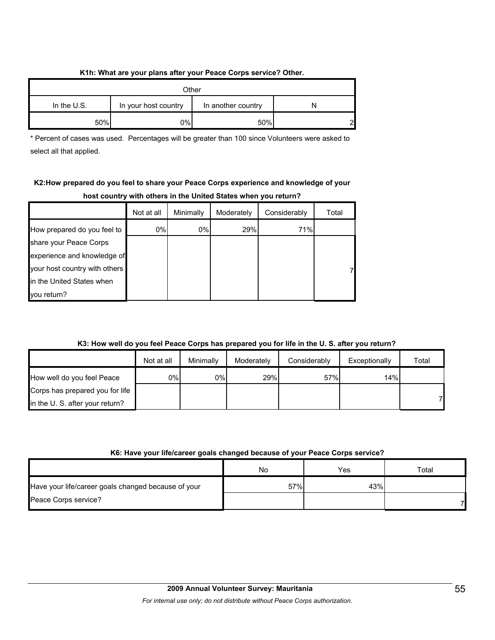#### **K1h: What are your plans after your Peace Corps service? Other.**

| Other         |                      |                    |   |  |
|---------------|----------------------|--------------------|---|--|
| In the $U.S.$ | In your host country | In another country |   |  |
| 50%           | 0%                   | 50%                | ົ |  |

\* Percent of cases was used. Percentages will be greater than 100 since Volunteers were asked to select all that applied.

## **K2:How prepared do you feel to share your Peace Corps experience and knowledge of your host country with others in the United States when you return?**

|                               | Not at all | Minimally | Moderately | Considerably | Total |
|-------------------------------|------------|-----------|------------|--------------|-------|
| How prepared do you feel to   | $0\%$      | $0\%$     | 29%        | 71%          |       |
| share your Peace Corps        |            |           |            |              |       |
| experience and knowledge of   |            |           |            |              |       |
| your host country with others |            |           |            |              |       |
| In the United States when     |            |           |            |              |       |
| vou return?                   |            |           |            |              |       |

## **K3: How well do you feel Peace Corps has prepared you for life in the U. S. after you return?**

|                                 | Not at all | Minimally | Moderately | Considerably | Exceptionally | Total |
|---------------------------------|------------|-----------|------------|--------------|---------------|-------|
| How well do you feel Peace      | 0%l        | 0%        | 29%        | 57%          | 14%           |       |
| Corps has prepared you for life |            |           |            |              |               |       |
| in the U. S. after your return? |            |           |            |              |               | 71    |

#### **K6: Have your life/career goals changed because of your Peace Corps service?**

|                                                     | No  | Yes | Total |
|-----------------------------------------------------|-----|-----|-------|
| Have your life/career goals changed because of your | 57% | 43% |       |
| Peace Corps service?                                |     |     |       |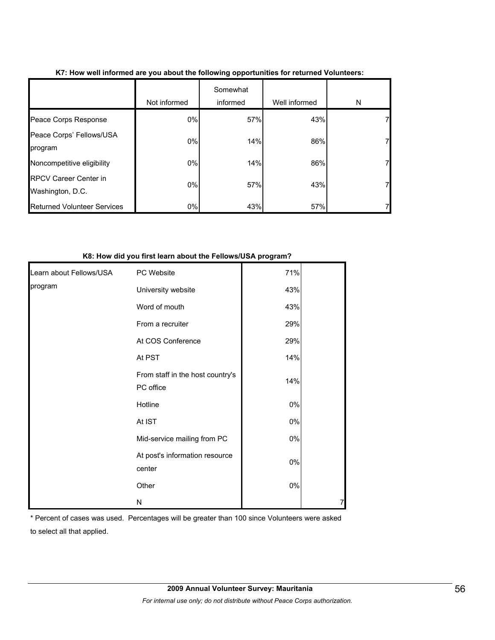|                                                  | Not informed | Somewhat<br>informed | Well informed | N  |
|--------------------------------------------------|--------------|----------------------|---------------|----|
| Peace Corps Response                             | 0%           | 57%                  | 43%           | 71 |
| Peace Corps' Fellows/USA<br>program              | 0%           | 14%                  | 86%           | 7  |
| Noncompetitive eligibility                       | 0%           | 14%                  | 86%           | 7  |
| <b>RPCV Career Center in</b><br>Washington, D.C. | 0%           | 57%                  | 43%           | 7  |
| <b>Returned Volunteer Services</b>               | 0%           | 43%                  | 57%           |    |

#### **K7: How well informed are you about the following opportunities for returned Volunteers:**

#### **K8: How did you first learn about the Fellows/USA program?**

| Learn about Fellows/USA | PC Website                                    | 71%   |  |
|-------------------------|-----------------------------------------------|-------|--|
| program                 | University website                            | 43%   |  |
|                         | Word of mouth                                 | 43%   |  |
|                         | From a recruiter                              | 29%   |  |
|                         | At COS Conference                             | 29%   |  |
|                         | At PST                                        | 14%   |  |
|                         | From staff in the host country's<br>PC office | 14%   |  |
|                         | Hotline                                       | $0\%$ |  |
|                         | At IST                                        | $0\%$ |  |
|                         | Mid-service mailing from PC                   | $0\%$ |  |
|                         | At post's information resource<br>center      | $0\%$ |  |
|                         | Other                                         | 0%    |  |
|                         | N                                             |       |  |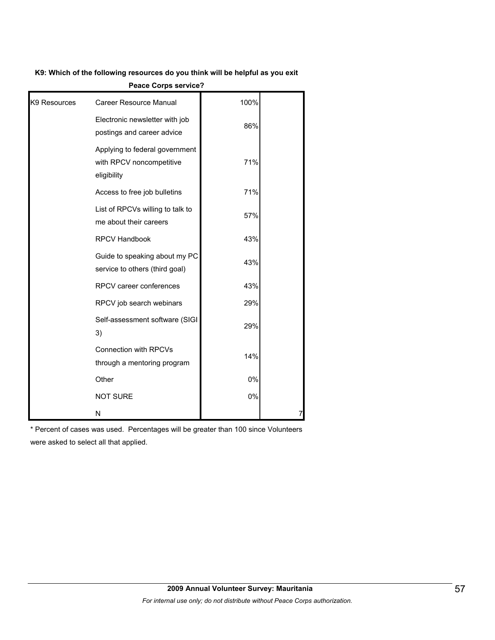#### **K9: Which of the following resources do you think will be helpful as you exit**

|                          | Peace Corps service?                                                      |      |   |
|--------------------------|---------------------------------------------------------------------------|------|---|
| K <sub>9</sub> Resources | <b>Career Resource Manual</b>                                             | 100% |   |
|                          | Electronic newsletter with job<br>postings and career advice              | 86%  |   |
|                          | Applying to federal government<br>with RPCV noncompetitive<br>eligibility | 71%  |   |
|                          | Access to free job bulletins                                              | 71%  |   |
|                          | List of RPCVs willing to talk to<br>me about their careers                | 57%  |   |
|                          | <b>RPCV Handbook</b>                                                      | 43%  |   |
|                          | Guide to speaking about my PC<br>service to others (third goal)           | 43%  |   |
|                          | RPCV career conferences                                                   | 43%  |   |
|                          | RPCV job search webinars                                                  | 29%  |   |
|                          | Self-assessment software (SIGI<br>3)                                      | 29%  |   |
|                          | <b>Connection with RPCVs</b><br>through a mentoring program               | 14%  |   |
|                          | Other                                                                     | 0%   |   |
|                          | <b>NOT SURE</b>                                                           | 0%   |   |
|                          | N                                                                         |      | 7 |

**Peace Corps service?**